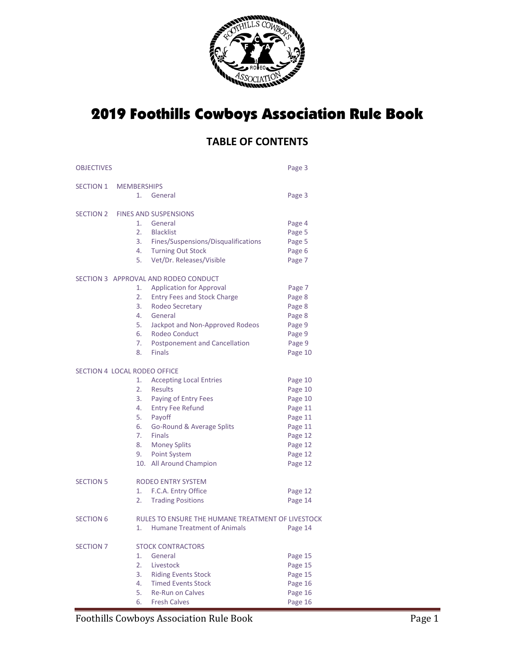

# 2019 Foothills Cowboys Association Rule Book

# **TABLE OF CONTENTS**

| <b>OBJECTIVES</b>                      |                                                   |                                      | Page 3  |  |
|----------------------------------------|---------------------------------------------------|--------------------------------------|---------|--|
| <b>SECTION 1</b><br><b>MEMBERSHIPS</b> |                                                   |                                      |         |  |
|                                        |                                                   | 1. General                           | Page 3  |  |
| <b>SECTION 2</b>                       |                                                   | <b>FINES AND SUSPENSIONS</b>         |         |  |
|                                        | 1.                                                | General                              | Page 4  |  |
|                                        | 2.                                                | <b>Blacklist</b>                     | Page 5  |  |
|                                        | 3.                                                | Fines/Suspensions/Disqualifications  | Page 5  |  |
|                                        | 4.                                                | <b>Turning Out Stock</b>             | Page 6  |  |
|                                        | 5.                                                | Vet/Dr. Releases/Visible             | Page 7  |  |
|                                        |                                                   | SECTION 3 APPROVAL AND RODEO CONDUCT |         |  |
|                                        | 1.                                                | <b>Application for Approval</b>      | Page 7  |  |
|                                        | 2.                                                | <b>Entry Fees and Stock Charge</b>   | Page 8  |  |
|                                        | 3.                                                | Rodeo Secretary                      | Page 8  |  |
|                                        | 4.                                                | General                              | Page 8  |  |
|                                        | 5.                                                | Jackpot and Non-Approved Rodeos      | Page 9  |  |
|                                        | 6.                                                | <b>Rodeo Conduct</b>                 | Page 9  |  |
|                                        | 7.                                                | Postponement and Cancellation        | Page 9  |  |
|                                        | 8.                                                | <b>Finals</b>                        | Page 10 |  |
|                                        | SECTION 4 LOCAL RODEO OFFICE                      |                                      |         |  |
|                                        | 1.                                                | <b>Accepting Local Entries</b>       | Page 10 |  |
|                                        | 2.                                                | Results                              | Page 10 |  |
|                                        | 3.                                                | Paying of Entry Fees                 | Page 10 |  |
|                                        | 4.                                                | <b>Entry Fee Refund</b>              | Page 11 |  |
|                                        | 5.                                                | Payoff                               | Page 11 |  |
|                                        | 6.                                                | Go-Round & Average Splits            | Page 11 |  |
|                                        | 7.                                                | <b>Finals</b>                        | Page 12 |  |
|                                        | 8.                                                | <b>Money Splits</b>                  | Page 12 |  |
|                                        | 9.                                                | <b>Point System</b>                  | Page 12 |  |
|                                        |                                                   | 10. All Around Champion              | Page 12 |  |
|                                        |                                                   |                                      |         |  |
| <b>SECTION 5</b>                       |                                                   | RODEO ENTRY SYSTEM                   |         |  |
|                                        | 1.                                                | F.C.A. Entry Office                  | Page 12 |  |
|                                        | 2.                                                | <b>Trading Positions</b>             | Page 14 |  |
| <b>SECTION 6</b>                       | RULES TO ENSURE THE HUMANE TREATMENT OF LIVESTOCK |                                      |         |  |
|                                        | 1.                                                | <b>Humane Treatment of Animals</b>   | Page 14 |  |
| <b>SECTION 7</b>                       | <b>STOCK CONTRACTORS</b>                          |                                      |         |  |
|                                        | 1.                                                | General                              | Page 15 |  |
|                                        | 2.                                                | Livestock                            | Page 15 |  |
|                                        | 3.                                                | <b>Riding Events Stock</b>           | Page 15 |  |
|                                        | 4.                                                | <b>Timed Events Stock</b>            | Page 16 |  |
|                                        | 5.                                                | <b>Re-Run on Calves</b>              | Page 16 |  |
|                                        | 6.                                                | <b>Fresh Calves</b>                  | Page 16 |  |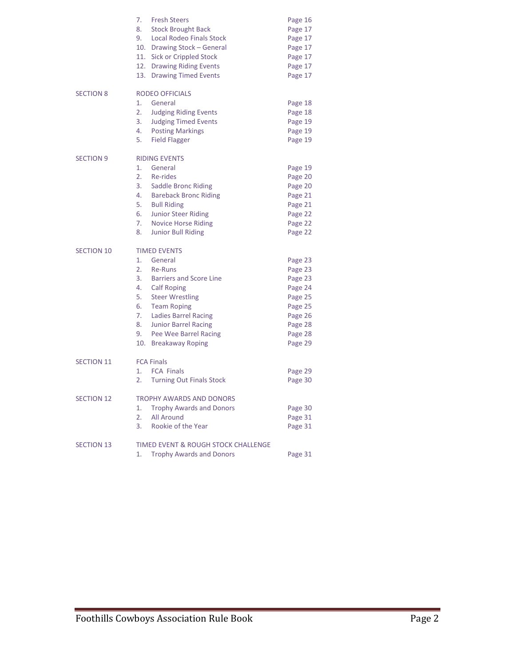|                   | <b>Fresh Steers</b><br>7.<br>8.<br><b>Stock Brought Back</b><br>9. Local Rodeo Finals Stock<br>10. Drawing Stock - General<br>11. Sick or Crippled Stock<br>12. Drawing Riding Events<br>13.<br><b>Drawing Timed Events</b>                                                                                                             | Page 16<br>Page 17<br>Page 17<br>Page 17<br>Page 17<br>Page 17<br>Page 17                                  |
|-------------------|-----------------------------------------------------------------------------------------------------------------------------------------------------------------------------------------------------------------------------------------------------------------------------------------------------------------------------------------|------------------------------------------------------------------------------------------------------------|
| <b>SECTION 8</b>  | RODEO OFFICIALS<br>1.<br>General<br>2.<br><b>Judging Riding Events</b><br>3.<br><b>Judging Timed Events</b><br>4.<br><b>Posting Markings</b><br>5.<br><b>Field Flagger</b>                                                                                                                                                              | Page 18<br>Page 18<br>Page 19<br>Page 19<br>Page 19                                                        |
| <b>SECTION 9</b>  | <b>RIDING EVENTS</b><br>1.<br>General<br>2.<br>Re-rides<br>3.<br><b>Saddle Bronc Riding</b><br>4.<br><b>Bareback Bronc Riding</b><br>5.<br><b>Bull Riding</b><br>6.<br><b>Junior Steer Riding</b><br>7.<br>Novice Horse Riding<br>8.<br>Junior Bull Riding                                                                              | Page 19<br>Page 20<br>Page 20<br>Page 21<br>Page 21<br>Page 22<br>Page 22<br>Page 22                       |
| <b>SECTION 10</b> | <b>TIMED EVENTS</b><br>1.<br>General<br>2.<br><b>Re-Runs</b><br>3.<br><b>Barriers and Score Line</b><br>4.<br><b>Calf Roping</b><br>5.<br><b>Steer Wrestling</b><br>6.<br><b>Team Roping</b><br>7.<br><b>Ladies Barrel Racing</b><br>8.<br><b>Junior Barrel Racing</b><br>9.<br>Pee Wee Barrel Racing<br>10.<br><b>Breakaway Roping</b> | Page 23<br>Page 23<br>Page 23<br>Page 24<br>Page 25<br>Page 25<br>Page 26<br>Page 28<br>Page 28<br>Page 29 |
| <b>SECTION 11</b> | <b>FCA Finals</b><br><b>FCA Finals</b><br>1.<br>2.<br><b>Turning Out Finals Stock</b>                                                                                                                                                                                                                                                   | Page 29<br>Page 30                                                                                         |
| <b>SECTION 12</b> | <b>TROPHY AWARDS AND DONORS</b><br>1.<br><b>Trophy Awards and Donors</b><br>2.<br><b>All Around</b><br>3.<br>Rookie of the Year                                                                                                                                                                                                         | Page 30<br>Page 31<br>Page 31                                                                              |
| <b>SECTION 13</b> | <b>TIMED EVENT &amp; ROUGH STOCK CHALLENGE</b><br><b>Trophy Awards and Donors</b><br>1.                                                                                                                                                                                                                                                 | Page 31                                                                                                    |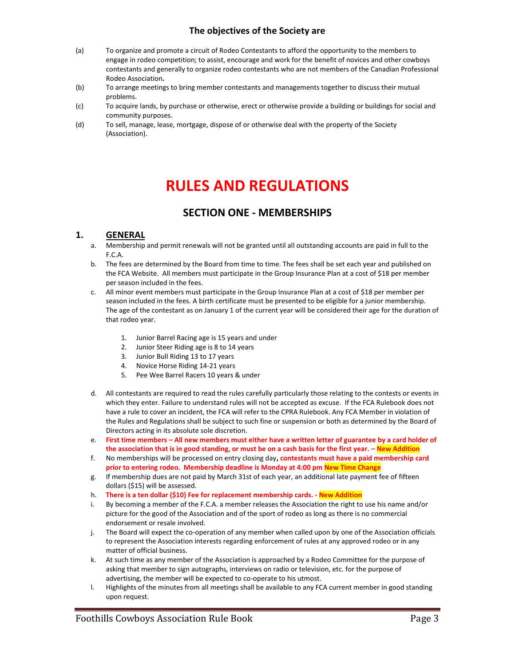# **The objectives of the Society are**

- (a) To organize and promote a circuit of Rodeo Contestants to afford the opportunity to the members to engage in rodeo competition; to assist, encourage and work for the benefit of novices and other cowboys contestants and generally to organize rodeo contestants who are not members of the Canadian Professional Rodeo Association**.**
- (b) To arrange meetings to bring member contestants and managements together to discuss their mutual problems.
- (c) To acquire lands, by purchase or otherwise, erect or otherwise provide a building or buildings for social and community purposes.
- (d) To sell, manage, lease, mortgage, dispose of or otherwise deal with the property of the Society (Association).

# **RULES AND REGULATIONS**

# **SECTION ONE - MEMBERSHIPS**

### **1. GENERAL**

- a. Membership and permit renewals will not be granted until all outstanding accounts are paid in full to the F.C.A.
- b. The fees are determined by the Board from time to time. The fees shall be set each year and published on the FCA Website. All members must participate in the Group Insurance Plan at a cost of \$18 per member per season included in the fees.
- c. All minor event members must participate in the Group Insurance Plan at a cost of \$18 per member per season included in the fees. A birth certificate must be presented to be eligible for a junior membership. The age of the contestant as on January 1 of the current year will be considered their age for the duration of that rodeo year.
	- 1. Junior Barrel Racing age is 15 years and under
	- 2. Junior Steer Riding age is 8 to 14 years
	- 3. Junior Bull Riding 13 to 17 years
	- 4. Novice Horse Riding 14-21 years
	- 5. Pee Wee Barrel Racers 10 years & under
- d. All contestants are required to read the rules carefully particularly those relating to the contests or events in which they enter. Failure to understand rules will not be accepted as excuse. If the FCA Rulebook does not have a rule to cover an incident, the FCA will refer to the CPRA Rulebook. Any FCA Member in violation of the Rules and Regulations shall be subject to such fine or suspension or both as determined by the Board of Directors acting in its absolute sole discretion.
- e. **First time members – All new members must either have a written letter of guarantee by a card holder of the association that is in good standing, or must be on a cash basis for the first year. – New Addition**
- f. No memberships will be processed on entry closing day**, contestants must have a paid membership card prior to entering rodeo. Membership deadline is Monday at 4:00 pm New Time Change**
- g. If membership dues are not paid by March 31st of each year, an additional late payment fee of fifteen dollars (\$15) will be assessed.
- h. **There is a ten dollar (\$10) Fee for replacement membership cards. - New Addition**
- i. By becoming a member of the F.C.A. a member releases the Association the right to use his name and/or picture for the good of the Association and of the sport of rodeo as long as there is no commercial endorsement or resale involved.
- j. The Board will expect the co-operation of any member when called upon by one of the Association officials to represent the Association interests regarding enforcement of rules at any approved rodeo or in any matter of official business.
- k. At such time as any member of the Association is approached by a Rodeo Committee for the purpose of asking that member to sign autographs, interviews on radio or television, etc. for the purpose of advertising, the member will be expected to co-operate to his utmost.
- l. Highlights of the minutes from all meetings shall be available to any FCA current member in good standing upon request.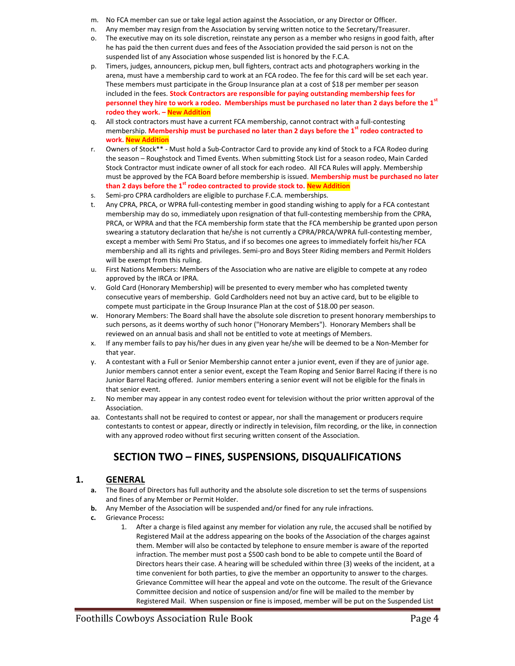- m. No FCA member can sue or take legal action against the Association, or any Director or Officer.
- n. Any member may resign from the Association by serving written notice to the Secretary/Treasurer.
- o. The executive may on its sole discretion, reinstate any person as a member who resigns in good faith, after he has paid the then current dues and fees of the Association provided the said person is not on the suspended list of any Association whose suspended list is honored by the F.C.A.
- p. Timers, judges, announcers, pickup men, bull fighters, contract acts and photographers working in the arena, must have a membership card to work at an FCA rodeo. The fee for this card will be set each year. These members must participate in the Group Insurance plan at a cost of \$18 per member per season included in the fees. **Stock Contractors are responsible for paying outstanding membership fees for personnel they hire to work a rodeo. Memberships must be purchased no later than 2 days before the 1st rodeo they work. – New Addition**
- q. All stock contractors must have a current FCA membership, cannot contract with a full-contesting membership. **Membership must be purchased no later than 2 days before the 1st rodeo contracted to work. New Addition**
- r. Owners of Stock\*\* Must hold a Sub-Contractor Card to provide any kind of Stock to a FCA Rodeo during the season – Roughstock and Timed Events. When submitting Stock List for a season rodeo, Main Carded Stock Contractor must indicate owner of all stock for each rodeo. All FCA Rules will apply. Membership must be approved by the FCA Board before membership is issued. **Membership must be purchased no later than 2 days before the 1st rodeo contracted to provide stock to. New Addition**
- s. Semi-pro CPRA cardholders are eligible to purchase F.C.A. memberships.
- t. Any CPRA, PRCA, or WPRA full-contesting member in good standing wishing to apply for a FCA contestant membership may do so, immediately upon resignation of that full-contesting membership from the CPRA, PRCA, or WPRA and that the FCA membership form state that the FCA membership be granted upon person swearing a statutory declaration that he/she is not currently a CPRA/PRCA/WPRA full-contesting member, except a member with Semi Pro Status, and if so becomes one agrees to immediately forfeit his/her FCA membership and all its rights and privileges. Semi-pro and Boys Steer Riding members and Permit Holders will be exempt from this ruling.
- u. First Nations Members: Members of the Association who are native are eligible to compete at any rodeo approved by the IRCA or IPRA.
- v. Gold Card (Honorary Membership) will be presented to every member who has completed twenty consecutive years of membership. Gold Cardholders need not buy an active card, but to be eligible to compete must participate in the Group Insurance Plan at the cost of \$18.00 per season.
- w. Honorary Members: The Board shall have the absolute sole discretion to present honorary memberships to such persons, as it deems worthy of such honor ("Honorary Members"). Honorary Members shall be reviewed on an annual basis and shall not be entitled to vote at meetings of Members.
- x. If any member fails to pay his/her dues in any given year he/she will be deemed to be a Non-Member for that year.
- y. A contestant with a Full or Senior Membership cannot enter a junior event, even if they are of junior age. Junior members cannot enter a senior event, except the Team Roping and Senior Barrel Racing if there is no Junior Barrel Racing offered. Junior members entering a senior event will not be eligible for the finals in that senior event.
- z. No member may appear in any contest rodeo event for television without the prior written approval of the Association.
- aa. Contestants shall not be required to contest or appear, nor shall the management or producers require contestants to contest or appear, directly or indirectly in television, film recording, or the like, in connection with any approved rodeo without first securing written consent of the Association.

# **SECTION TWO – FINES, SUSPENSIONS, DISQUALIFICATIONS**

### **1. GENERAL**

- **a.** The Board of Directors has full authority and the absolute sole discretion to set the terms of suspensions and fines of any Member or Permit Holder.
- **b.** Any Member of the Association will be suspended and/or fined for any rule infractions.
- **c.** Grievance Process**:** 
	- 1. After a charge is filed against any member for violation any rule, the accused shall be notified by Registered Mail at the address appearing on the books of the Association of the charges against them. Member will also be contacted by telephone to ensure member is aware of the reported infraction. The member must post a \$500 cash bond to be able to compete until the Board of Directors hears their case. A hearing will be scheduled within three (3) weeks of the incident, at a time convenient for both parties, to give the member an opportunity to answer to the charges. Grievance Committee will hear the appeal and vote on the outcome. The result of the Grievance Committee decision and notice of suspension and/or fine will be mailed to the member by Registered Mail. When suspension or fine is imposed, member will be put on the Suspended List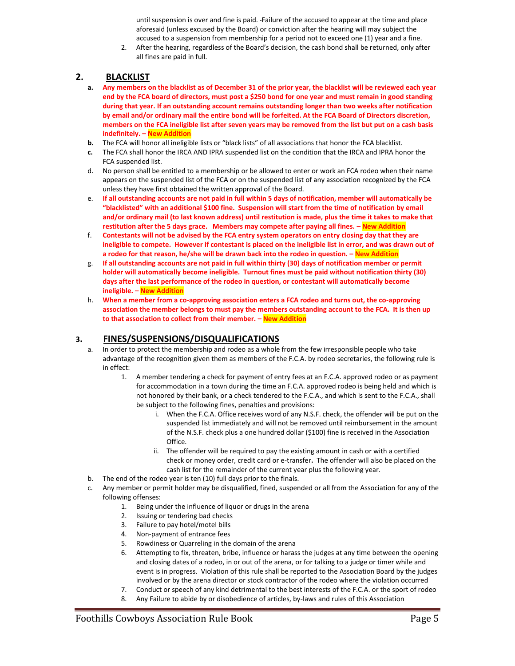until suspension is over and fine is paid. Failure of the accused to appear at the time and place aforesaid (unless excused by the Board) or conviction after the hearing will may subject the accused to a suspension from membership for a period not to exceed one (1) year and a fine.

2. After the hearing, regardless of the Board's decision, the cash bond shall be returned, only after all fines are paid in full.

### **2. BLACKLIST**

- **a. Any members on the blacklist as of December 31 of the prior year, the blacklist will be reviewed each year end by the FCA board of directors, must post a \$250 bond for one year and must remain in good standing during that year. If an outstanding account remains outstanding longer than two weeks after notification by email and/or ordinary mail the entire bond will be forfeited. At the FCA Board of Directors discretion, members on the FCA ineligible list after seven years may be removed from the list but put on a cash basis indefinitely. – New Addition**
- **b.** The FCA will honor all ineligible lists or "black lists" of all associations that honor the FCA blacklist.
- **c.** The FCA shall honor the IRCA AND IPRA suspended list on the condition that the IRCA and IPRA honor the FCA suspended list.
- d. No person shall be entitled to a membership or be allowed to enter or work an FCA rodeo when their name appears on the suspended list of the FCA or on the suspended list of any association recognized by the FCA unless they have first obtained the written approval of the Board.
- e. **If all outstanding accounts are not paid in full within 5 days of notification, member will automatically be "blacklisted" with an additional \$100 fine. Suspension will start from the time of notification by email and/or ordinary mail (to last known address) until restitution is made, plus the time it takes to make that restitution after the 5 days grace. Members may compete after paying all fines. – New Addition**
- f. **Contestants will not be advised by the FCA entry system operators on entry closing day that they are ineligible to compete. However if contestant is placed on the ineligible list in error, and was drawn out of a rodeo for that reason, he/she will be drawn back into the rodeo in question. – New Addition**
- g. **If all outstanding accounts are not paid in full within thirty (30) days of notification member or permit holder will automatically become ineligible. Turnout fines must be paid without notification thirty (30) days after the last performance of the rodeo in question, or contestant will automatically become ineligible. – New Addition**
- h. **When a member from a co-approving association enters a FCA rodeo and turns out, the co-approving association the member belongs to must pay the members outstanding account to the FCA. It is then up to that association to collect from their member. – New Addition**

#### **3. FINES/SUSPENSIONS/DISQUALIFICATIONS**

- a. In order to protect the membership and rodeo as a whole from the few irresponsible people who take advantage of the recognition given them as members of the F.C.A. by rodeo secretaries, the following rule is in effect:
	- 1. A member tendering a check for payment of entry fees at an F.C.A. approved rodeo or as payment for accommodation in a town during the time an F.C.A. approved rodeo is being held and which is not honored by their bank, or a check tendered to the F.C.A., and which is sent to the F.C.A., shall be subject to the following fines, penalties and provisions:
		- i. When the F.C.A. Office receives word of any N.S.F. check, the offender will be put on the suspended list immediately and will not be removed until reimbursement in the amount of the N.S.F. check plus a one hundred dollar (\$100) fine is received in the Association Office.
		- ii. The offender will be required to pay the existing amount in cash or with a certified check or money order, credit card or e-transfer**.** The offender will also be placed on the cash list for the remainder of the current year plus the following year.
- b. The end of the rodeo year is ten (10) full days prior to the finals.
- c. Any member or permit holder may be disqualified, fined, suspended or all from the Association for any of the following offenses:
	- 1. Being under the influence of liquor or drugs in the arena
	- 2. Issuing or tendering bad checks
	- 3. Failure to pay hotel/motel bills
	- 4. Non-payment of entrance fees
	- 5. Rowdiness or Quarreling in the domain of the arena
	- 6. Attempting to fix, threaten, bribe, influence or harass the judges at any time between the opening and closing dates of a rodeo, in or out of the arena, or for talking to a judge or timer while and event is in progress. Violation of this rule shall be reported to the Association Board by the judges involved or by the arena director or stock contractor of the rodeo where the violation occurred
	- 7. Conduct or speech of any kind detrimental to the best interests of the F.C.A. or the sport of rodeo
	- 8. Any Failure to abide by or disobedience of articles, by-laws and rules of this Association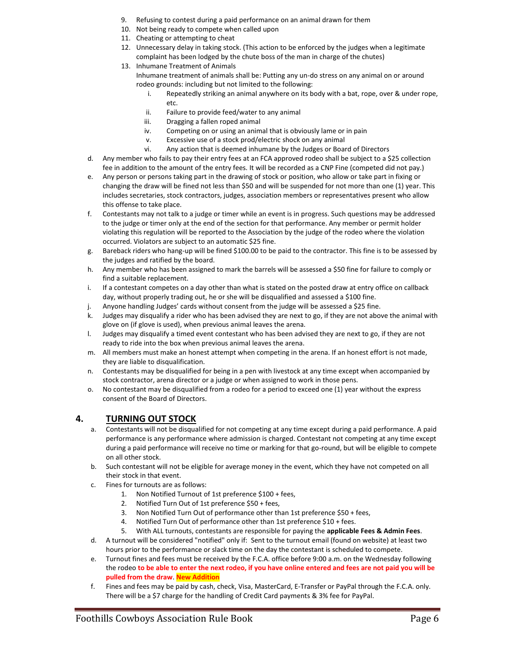- 9. Refusing to contest during a paid performance on an animal drawn for them
- 10. Not being ready to compete when called upon
- 11. Cheating or attempting to cheat
- 12. Unnecessary delay in taking stock. (This action to be enforced by the judges when a legitimate complaint has been lodged by the chute boss of the man in charge of the chutes)
- 13. Inhumane Treatment of Animals

Inhumane treatment of animals shall be: Putting any un-do stress on any animal on or around rodeo grounds: including but not limited to the following:

- i. Repeatedly striking an animal anywhere on its body with a bat, rope, over & under rope, etc.
- ii. Failure to provide feed/water to any animal
- iii. Dragging a fallen roped animal
- iv. Competing on or using an animal that is obviously lame or in pain
- v. Excessive use of a stock prod/electric shock on any animal
- vi. Any action that is deemed inhumane by the Judges or Board of Directors
- d. Any member who fails to pay their entry fees at an FCA approved rodeo shall be subject to a \$25 collection fee in addition to the amount of the entry fees. It will be recorded as a CNP Fine (competed did not pay.)
- e. Any person or persons taking part in the drawing of stock or position, who allow or take part in fixing or changing the draw will be fined not less than \$50 and will be suspended for not more than one (1) year. This includes secretaries, stock contractors, judges, association members or representatives present who allow this offense to take place.
- f. Contestants may not talk to a judge or timer while an event is in progress. Such questions may be addressed to the judge or timer only at the end of the section for that performance. Any member or permit holder violating this regulation will be reported to the Association by the judge of the rodeo where the violation occurred. Violators are subject to an automatic \$25 fine.
- g. Bareback riders who hang-up will be fined \$100.00 to be paid to the contractor. This fine is to be assessed by the judges and ratified by the board.
- h. Any member who has been assigned to mark the barrels will be assessed a \$50 fine for failure to comply or find a suitable replacement.
- i. If a contestant competes on a day other than what is stated on the posted draw at entry office on callback day, without properly trading out, he or she will be disqualified and assessed a \$100 fine.
- j. Anyone handling Judges' cards without consent from the judge will be assessed a \$25 fine.
- k. Judges may disqualify a rider who has been advised they are next to go, if they are not above the animal with glove on (if glove is used), when previous animal leaves the arena.
- l. Judges may disqualify a timed event contestant who has been advised they are next to go, if they are not ready to ride into the box when previous animal leaves the arena.
- m. All members must make an honest attempt when competing in the arena. If an honest effort is not made, they are liable to disqualification.
- n. Contestants may be disqualified for being in a pen with livestock at any time except when accompanied by stock contractor, arena director or a judge or when assigned to work in those pens.
- o. No contestant may be disqualified from a rodeo for a period to exceed one (1) year without the express consent of the Board of Directors.

### **4. TURNING OUT STOCK**

- a. Contestants will not be disqualified for not competing at any time except during a paid performance. A paid performance is any performance where admission is charged. Contestant not competing at any time except during a paid performance will receive no time or marking for that go-round, but will be eligible to compete on all other stock.
- b. Such contestant will not be eligible for average money in the event, which they have not competed on all their stock in that event.
- c. Fines for turnouts are as follows:
	- 1. Non Notified Turnout of 1st preference \$100 + fees,
	- 2. Notified Turn Out of 1st preference \$50 + fees,
	- 3. Non Notified Turn Out of performance other than 1st preference \$50 + fees,
	- 4. Notified Turn Out of performance other than 1st preference \$10 + fees.
	- 5. With ALL turnouts, contestants are responsible for paying the **applicable Fees & Admin Fees**.
- d. A turnout will be considered "notified" only if: Sent to the turnout email (found on website) at least two hours prior to the performance or slack time on the day the contestant is scheduled to compete.
- e. Turnout fines and fees must be received by the F.C.A. office before 9:00 a.m. on the Wednesday following the rodeo **to be able to enter the next rodeo, if you have online entered and fees are not paid you will be pulled from the draw**. **New Addition**
- f. Fines and fees may be paid by cash, check, Visa, MasterCard, E-Transfer or PayPal through the F.C.A. only. There will be a \$7 charge for the handling of Credit Card payments & 3% fee for PayPal.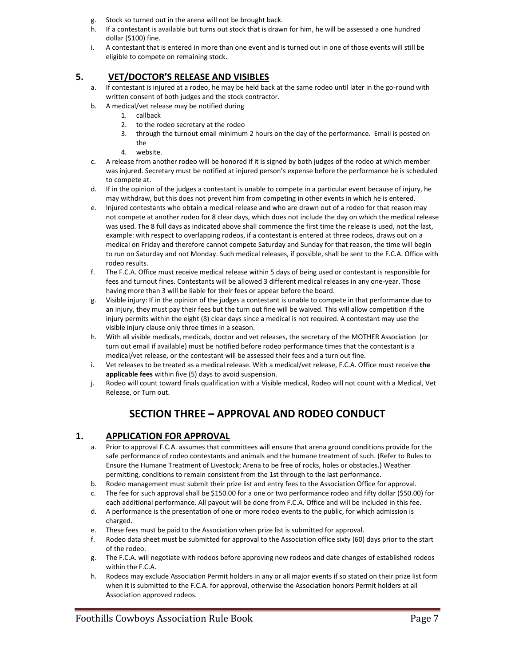- g. Stock so turned out in the arena will not be brought back.
- h. If a contestant is available but turns out stock that is drawn for him, he will be assessed a one hundred dollar (\$100) fine.
- i. A contestant that is entered in more than one event and is turned out in one of those events will still be eligible to compete on remaining stock.

### **5. VET/DOCTOR'S RELEASE AND VISIBLES**

- a. If contestant is injured at a rodeo, he may be held back at the same rodeo until later in the go-round with written consent of both judges and the stock contractor.
- b. A medical/vet release may be notified during
	- 1. callback
	- 2. to the rodeo secretary at the rodeo
	- 3. through the turnout email minimum 2 hours on the day of the performance. Email is posted on the
	- 4. website.
- c. A release from another rodeo will be honored if it is signed by both judges of the rodeo at which member was injured. Secretary must be notified at injured person's expense before the performance he is scheduled to compete at.
- d. If in the opinion of the judges a contestant is unable to compete in a particular event because of injury, he may withdraw, but this does not prevent him from competing in other events in which he is entered.
- e. Injured contestants who obtain a medical release and who are drawn out of a rodeo for that reason may not compete at another rodeo for 8 clear days, which does not include the day on which the medical release was used. The 8 full days as indicated above shall commence the first time the release is used, not the last, example: with respect to overlapping rodeos, if a contestant is entered at three rodeos, draws out on a medical on Friday and therefore cannot compete Saturday and Sunday for that reason, the time will begin to run on Saturday and not Monday. Such medical releases, if possible, shall be sent to the F.C.A. Office with rodeo results.
- f. The F.C.A. Office must receive medical release within 5 days of being used or contestant is responsible for fees and turnout fines. Contestants will be allowed 3 different medical releases in any one-year. Those having more than 3 will be liable for their fees or appear before the board.
- g. Visible injury: If in the opinion of the judges a contestant is unable to compete in that performance due to an injury, they must pay their fees but the turn out fine will be waived. This will allow competition if the injury permits within the eight (8) clear days since a medical is not required. A contestant may use the visible injury clause only three times in a season.
- h. With all visible medicals, medicals, doctor and vet releases, the secretary of the MOTHER Association (or turn out email if available) must be notified before rodeo performance times that the contestant is a medical/vet release, or the contestant will be assessed their fees and a turn out fine.
- i. Vet releases to be treated as a medical release. With a medical/vet release, F.C.A. Office must receive **the applicable fees** within five (5) days to avoid suspension.
- j. Rodeo will count toward finals qualification with a Visible medical, Rodeo will not count with a Medical, Vet Release, or Turn out.

# **SECTION THREE – APPROVAL AND RODEO CONDUCT**

### **1. APPLICATION FOR APPROVAL**

- a. Prior to approval F.C.A. assumes that committees will ensure that arena ground conditions provide for the safe performance of rodeo contestants and animals and the humane treatment of such. (Refer to Rules to Ensure the Humane Treatment of Livestock; Arena to be free of rocks, holes or obstacles.) Weather permitting, conditions to remain consistent from the 1st through to the last performance.
- b. Rodeo management must submit their prize list and entry fees to the Association Office for approval.
- c. The fee for such approval shall be \$150.00 for a one or two performance rodeo and fifty dollar (\$50.00) for each additional performance. All payout will be done from F.C.A. Office and will be included in this fee.
- d. A performance is the presentation of one or more rodeo events to the public, for which admission is charged.
- e. These fees must be paid to the Association when prize list is submitted for approval.
- f. Rodeo data sheet must be submitted for approval to the Association office sixty (60) days prior to the start of the rodeo.
- g. The F.C.A. will negotiate with rodeos before approving new rodeos and date changes of established rodeos within the F.C.A.
- h. Rodeos may exclude Association Permit holders in any or all major events if so stated on their prize list form when it is submitted to the F.C.A. for approval, otherwise the Association honors Permit holders at all Association approved rodeos.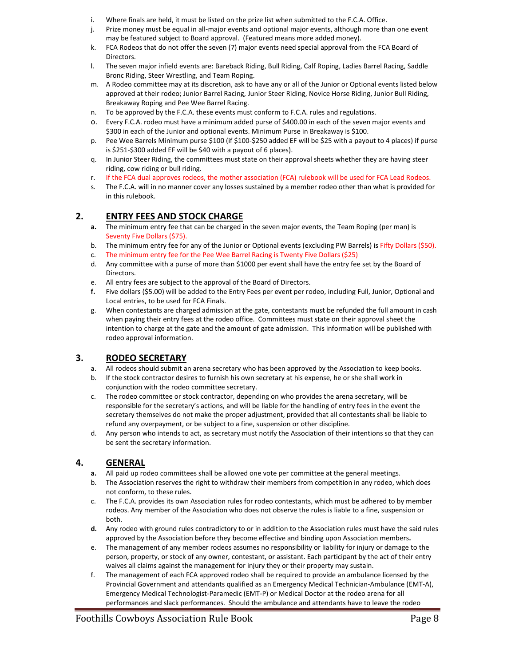- i. Where finals are held, it must be listed on the prize list when submitted to the F.C.A. Office.
- j. Prize money must be equal in all-major events and optional major events, although more than one event may be featured subject to Board approval. (Featured means more added money).
- k. FCA Rodeos that do not offer the seven (7) major events need special approval from the FCA Board of Directors.
- l. The seven major infield events are: Bareback Riding, Bull Riding, Calf Roping, Ladies Barrel Racing, Saddle Bronc Riding, Steer Wrestling, and Team Roping.
- m. A Rodeo committee may at its discretion, ask to have any or all of the Junior or Optional events listed below approved at their rodeo; Junior Barrel Racing, Junior Steer Riding, Novice Horse Riding, Junior Bull Riding, Breakaway Roping and Pee Wee Barrel Racing.
- n. To be approved by the F.C.A. these events must conform to F.C.A. rules and regulations.
- o. Every F.C.A. rodeo must have a minimum added purse of \$400.00 in each of the seven major events and \$300 in each of the Junior and optional events. Minimum Purse in Breakaway is \$100.
- p. Pee Wee Barrels Minimum purse \$100 (if \$100-\$250 added EF will be \$25 with a payout to 4 places) if purse is \$251-\$300 added EF will be \$40 with a payout of 6 places).
- q. In Junior Steer Riding, the committees must state on their approval sheets whether they are having steer riding, cow riding or bull riding.
- r. If the FCA dual approves rodeos, the mother association (FCA) rulebook will be used for FCA Lead Rodeos.
- s. The F.C.A. will in no manner cover any losses sustained by a member rodeo other than what is provided for in this rulebook.

# **2. ENTRY FEES AND STOCK CHARGE**

- **a.** The minimum entry fee that can be charged in the seven major events, the Team Roping (per man) is Seventy Five Dollars (\$75).
- b. The minimum entry fee for any of the Junior or Optional events (excluding PW Barrels) is Fifty Dollars (\$50).
- c. The minimum entry fee for the Pee Wee Barrel Racing is Twenty Five Dollars (\$25)
- d. Any committee with a purse of more than \$1000 per event shall have the entry fee set by the Board of Directors.
- e. All entry fees are subject to the approval of the Board of Directors.
- **f.** Five dollars (\$5.00) will be added to the Entry Fees per event per rodeo, including Full, Junior, Optional and Local entries, to be used for FCA Finals.
- g. When contestants are charged admission at the gate, contestants must be refunded the full amount in cash when paying their entry fees at the rodeo office. Committees must state on their approval sheet the intention to charge at the gate and the amount of gate admission. This information will be published with rodeo approval information.

# **3. RODEO SECRETARY**<br>**a.** All rodeos should submit a

- All rodeos should submit an arena secretary who has been approved by the Association to keep books.
- b. If the stock contractor desires to furnish his own secretary at his expense, he or she shall work in conjunction with the rodeo committee secretary.
- c. The rodeo committee or stock contractor, depending on who provides the arena secretary, will be responsible for the secretary's actions, and will be liable for the handling of entry fees in the event the secretary themselves do not make the proper adjustment, provided that all contestants shall be liable to refund any overpayment, or be subject to a fine, suspension or other discipline.
- d. Any person who intends to act, as secretary must notify the Association of their intentions so that they can be sent the secretary information.

### **4. GENERAL**

- **a.** All paid up rodeo committees shall be allowed one vote per committee at the general meetings.
- b. The Association reserves the right to withdraw their members from competition in any rodeo, which does not conform, to these rules.
- c. The F.C.A. provides its own Association rules for rodeo contestants, which must be adhered to by member rodeos. Any member of the Association who does not observe the rules is liable to a fine, suspension or both.
- **d.** Any rodeo with ground rules contradictory to or in addition to the Association rules must have the said rules approved by the Association before they become effective and binding upon Association members**.**
- e. The management of any member rodeos assumes no responsibility or liability for injury or damage to the person, property, or stock of any owner, contestant, or assistant. Each participant by the act of their entry waives all claims against the management for injury they or their property may sustain.
- f. The management of each FCA approved rodeo shall be required to provide an ambulance licensed by the Provincial Government and attendants qualified as an Emergency Medical Technician-Ambulance (EMT-A), Emergency Medical Technologist-Paramedic (EMT-P) or Medical Doctor at the rodeo arena for all performances and slack performances. Should the ambulance and attendants have to leave the rodeo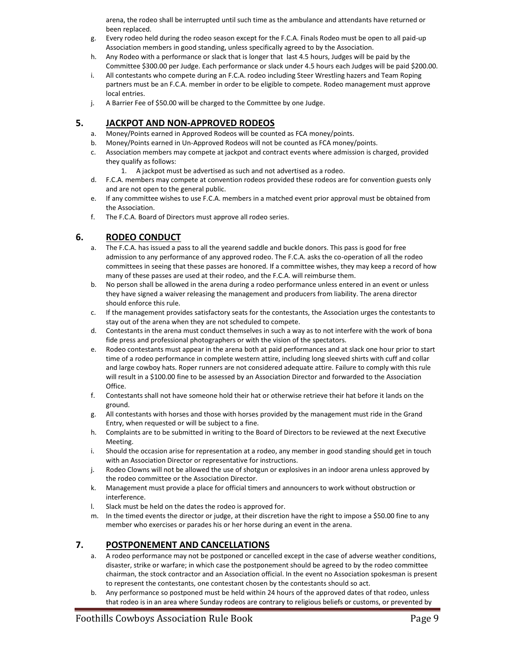arena, the rodeo shall be interrupted until such time as the ambulance and attendants have returned or been replaced.

- g. Every rodeo held during the rodeo season except for the F.C.A. Finals Rodeo must be open to all paid-up Association members in good standing, unless specifically agreed to by the Association.
- h. Any Rodeo with a performance or slack that is longer that last 4.5 hours, Judges will be paid by the Committee \$300.00 per Judge. Each performance or slack under 4.5 hours each Judges will be paid \$200.00.
- i. All contestants who compete during an F.C.A. rodeo including Steer Wrestling hazers and Team Roping partners must be an F.C.A. member in order to be eligible to compete. Rodeo management must approve local entries.
- j. A Barrier Fee of \$50.00 will be charged to the Committee by one Judge.

### **5. JACKPOT AND NON-APPROVED RODEOS**

- a. Money/Points earned in Approved Rodeos will be counted as FCA money/points.
- b. Money/Points earned in Un-Approved Rodeos will not be counted as FCA money/points.
- c. Association members may compete at jackpot and contract events where admission is charged, provided they qualify as follows:
	- 1. A jackpot must be advertised as such and not advertised as a rodeo.
- d. F.C.A. members may compete at convention rodeos provided these rodeos are for convention guests only and are not open to the general public.
- e. If any committee wishes to use F.C.A. members in a matched event prior approval must be obtained from the Association.
- f. The F.C.A. Board of Directors must approve all rodeo series.

### **6. RODEO CONDUCT**

- a. The F.C.A. has issued a pass to all the yearend saddle and buckle donors. This pass is good for free admission to any performance of any approved rodeo. The F.C.A. asks the co-operation of all the rodeo committees in seeing that these passes are honored. If a committee wishes, they may keep a record of how many of these passes are used at their rodeo, and the F.C.A. will reimburse them.
- b. No person shall be allowed in the arena during a rodeo performance unless entered in an event or unless they have signed a waiver releasing the management and producers from liability. The arena director should enforce this rule.
- c. If the management provides satisfactory seats for the contestants, the Association urges the contestants to stay out of the arena when they are not scheduled to compete.
- d. Contestants in the arena must conduct themselves in such a way as to not interfere with the work of bona fide press and professional photographers or with the vision of the spectators.
- e. Rodeo contestants must appear in the arena both at paid performances and at slack one hour prior to start time of a rodeo performance in complete western attire, including long sleeved shirts with cuff and collar and large cowboy hats. Roper runners are not considered adequate attire. Failure to comply with this rule will result in a \$100.00 fine to be assessed by an Association Director and forwarded to the Association Office.
- f. Contestants shall not have someone hold their hat or otherwise retrieve their hat before it lands on the ground.
- g. All contestants with horses and those with horses provided by the management must ride in the Grand Entry, when requested or will be subject to a fine.
- h. Complaints are to be submitted in writing to the Board of Directors to be reviewed at the next Executive Meeting.
- i. Should the occasion arise for representation at a rodeo, any member in good standing should get in touch with an Association Director or representative for instructions.
- j. Rodeo Clowns will not be allowed the use of shotgun or explosives in an indoor arena unless approved by the rodeo committee or the Association Director.
- k. Management must provide a place for official timers and announcers to work without obstruction or interference.
- l. Slack must be held on the dates the rodeo is approved for.
- m. In the timed events the director or judge, at their discretion have the right to impose a \$50.00 fine to any member who exercises or parades his or her horse during an event in the arena.

# **7. POSTPONEMENT AND CANCELLATIONS**

- a. A rodeo performance may not be postponed or cancelled except in the case of adverse weather conditions, disaster, strike or warfare; in which case the postponement should be agreed to by the rodeo committee chairman, the stock contractor and an Association official. In the event no Association spokesman is present to represent the contestants, one contestant chosen by the contestants should so act.
- b. Any performance so postponed must be held within 24 hours of the approved dates of that rodeo, unless that rodeo is in an area where Sunday rodeos are contrary to religious beliefs or customs, or prevented by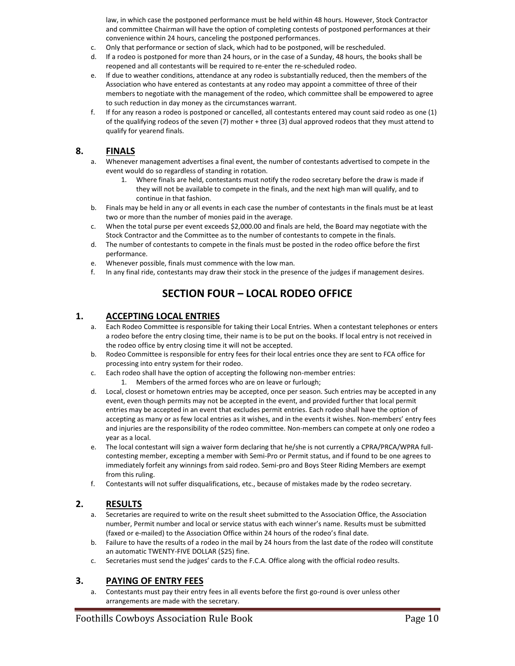law, in which case the postponed performance must be held within 48 hours. However, Stock Contractor and committee Chairman will have the option of completing contests of postponed performances at their convenience within 24 hours, canceling the postponed performances.

- c. Only that performance or section of slack, which had to be postponed, will be rescheduled.
- d. If a rodeo is postponed for more than 24 hours, or in the case of a Sunday, 48 hours, the books shall be reopened and all contestants will be required to re-enter the re-scheduled rodeo.
- e. If due to weather conditions, attendance at any rodeo is substantially reduced, then the members of the Association who have entered as contestants at any rodeo may appoint a committee of three of their members to negotiate with the management of the rodeo, which committee shall be empowered to agree to such reduction in day money as the circumstances warrant.
- f. If for any reason a rodeo is postponed or cancelled, all contestants entered may count said rodeo as one (1) of the qualifying rodeos of the seven (7) mother + three (3) dual approved rodeos that they must attend to qualify for yearend finals.

### **8. FINALS**

- a. Whenever management advertises a final event, the number of contestants advertised to compete in the event would do so regardless of standing in rotation.
	- 1. Where finals are held, contestants must notify the rodeo secretary before the draw is made if they will not be available to compete in the finals, and the next high man will qualify, and to continue in that fashion.
- b. Finals may be held in any or all events in each case the number of contestants in the finals must be at least two or more than the number of monies paid in the average.
- c. When the total purse per event exceeds \$2,000.00 and finals are held, the Board may negotiate with the Stock Contractor and the Committee as to the number of contestants to compete in the finals.
- d. The number of contestants to compete in the finals must be posted in the rodeo office before the first performance.
- e. Whenever possible, finals must commence with the low man.
- f. In any final ride, contestants may draw their stock in the presence of the judges if management desires.

# **SECTION FOUR – LOCAL RODEO OFFICE**

### **1. ACCEPTING LOCAL ENTRIES**

- a. Each Rodeo Committee is responsible for taking their Local Entries. When a contestant telephones or enters a rodeo before the entry closing time, their name is to be put on the books. If local entry is not received in the rodeo office by entry closing time it will not be accepted.
- b. Rodeo Committee is responsible for entry fees for their local entries once they are sent to FCA office for processing into entry system for their rodeo.
- c. Each rodeo shall have the option of accepting the following non-member entries:
	- 1. Members of the armed forces who are on leave or furlough;
- d. Local, closest or hometown entries may be accepted, once per season. Such entries may be accepted in any event, even though permits may not be accepted in the event, and provided further that local permit entries may be accepted in an event that excludes permit entries. Each rodeo shall have the option of accepting as many or as few local entries as it wishes, and in the events it wishes. Non-members' entry fees and injuries are the responsibility of the rodeo committee. Non-members can compete at only one rodeo a year as a local.
- e. The local contestant will sign a waiver form declaring that he/she is not currently a CPRA/PRCA/WPRA fullcontesting member, excepting a member with Semi-Pro or Permit status, and if found to be one agrees to immediately forfeit any winnings from said rodeo. Semi-pro and Boys Steer Riding Members are exempt from this ruling.
- f. Contestants will not suffer disqualifications, etc., because of mistakes made by the rodeo secretary.

# **2. RESULTS**

- a. Secretaries are required to write on the result sheet submitted to the Association Office, the Association number, Permit number and local or service status with each winner's name. Results must be submitted (faxed or e-mailed) to the Association Office within 24 hours of the rodeo's final date.
- b. Failure to have the results of a rodeo in the mail by 24 hours from the last date of the rodeo will constitute an automatic TWENTY-FIVE DOLLAR (\$25) fine.
- c. Secretaries must send the judges' cards to the F.C.A. Office along with the official rodeo results.

### **3. PAYING OF ENTRY FEES**

a. Contestants must pay their entry fees in all events before the first go-round is over unless other arrangements are made with the secretary.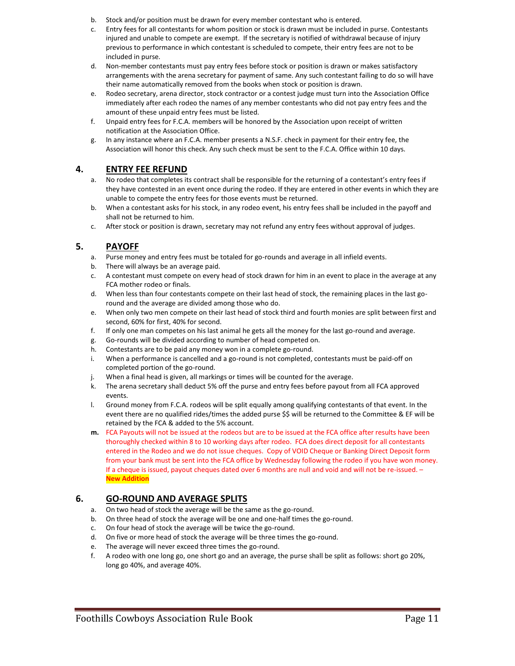- b. Stock and/or position must be drawn for every member contestant who is entered.
- c. Entry fees for all contestants for whom position or stock is drawn must be included in purse. Contestants injured and unable to compete are exempt. If the secretary is notified of withdrawal because of injury previous to performance in which contestant is scheduled to compete, their entry fees are not to be included in purse.
- d. Non-member contestants must pay entry fees before stock or position is drawn or makes satisfactory arrangements with the arena secretary for payment of same. Any such contestant failing to do so will have their name automatically removed from the books when stock or position is drawn.
- e. Rodeo secretary, arena director, stock contractor or a contest judge must turn into the Association Office immediately after each rodeo the names of any member contestants who did not pay entry fees and the amount of these unpaid entry fees must be listed.
- f. Unpaid entry fees for F.C.A. members will be honored by the Association upon receipt of written notification at the Association Office.
- g. In any instance where an F.C.A. member presents a N.S.F. check in payment for their entry fee, the Association will honor this check. Any such check must be sent to the F.C.A. Office within 10 days.

# **4. ENTRY FEE REFUND**

- a. No rodeo that completes its contract shall be responsible for the returning of a contestant's entry fees if they have contested in an event once during the rodeo. If they are entered in other events in which they are unable to compete the entry fees for those events must be returned.
- b. When a contestant asks for his stock, in any rodeo event, his entry fees shall be included in the payoff and shall not be returned to him.
- c. After stock or position is drawn, secretary may not refund any entry fees without approval of judges.

# **5. PAYOFF**<br>a. Purse mone

- Purse money and entry fees must be totaled for go-rounds and average in all infield events.
- b. There will always be an average paid.
- c. A contestant must compete on every head of stock drawn for him in an event to place in the average at any FCA mother rodeo or finals.
- d. When less than four contestants compete on their last head of stock, the remaining places in the last goround and the average are divided among those who do.
- e. When only two men compete on their last head of stock third and fourth monies are split between first and second, 60% for first, 40% for second.
- f. If only one man competes on his last animal he gets all the money for the last go-round and average.
- g. Go-rounds will be divided according to number of head competed on.
- h. Contestants are to be paid any money won in a complete go-round.
- i. When a performance is cancelled and a go-round is not completed, contestants must be paid-off on completed portion of the go-round.
- j. When a final head is given, all markings or times will be counted for the average.
- k. The arena secretary shall deduct 5% off the purse and entry fees before payout from all FCA approved events.
- l. Ground money from F.C.A. rodeos will be split equally among qualifying contestants of that event. In the event there are no qualified rides/times the added purse \$\$ will be returned to the Committee & EF will be retained by the FCA & added to the 5% account.
- **m.** FCA Payouts will not be issued at the rodeos but are to be issued at the FCA office after results have been thoroughly checked within 8 to 10 working days after rodeo. FCA does direct deposit for all contestants entered in the Rodeo and we do not issue cheques. Copy of VOID Cheque or Banking Direct Deposit form from your bank must be sent into the FCA office by Wednesday following the rodeo if you have won money. If a cheque is issued, payout cheques dated over 6 months are null and void and will not be re-issued. – **New Addition**

# **6. GO-ROUND AND AVERAGE SPLITS**

- a. On two head of stock the average will be the same as the go-round.
- b. On three head of stock the average will be one and one-half times the go-round.
- c. On four head of stock the average will be twice the go-round.
- d. On five or more head of stock the average will be three times the go-round.
- e. The average will never exceed three times the go-round.
- f. A rodeo with one long go, one short go and an average, the purse shall be split as follows: short go 20%, long go 40%, and average 40%.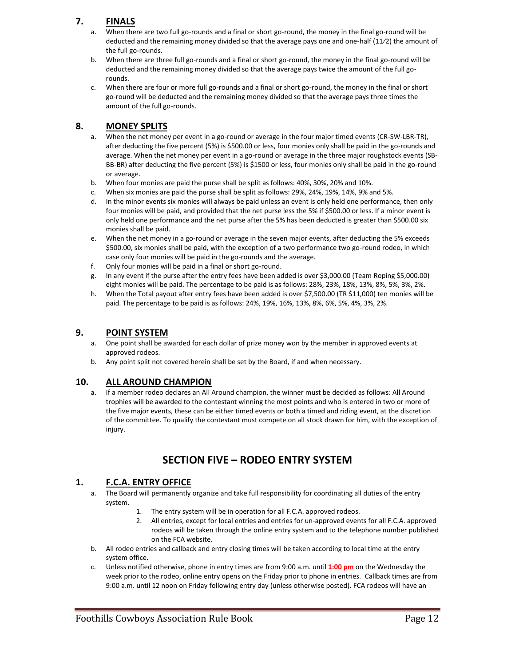# **7. FINALS**

- a. When there are two full go-rounds and a final or short go-round, the money in the final go-round will be deducted and the remaining money divided so that the average pays one and one-half (11⁄2) the amount of the full go-rounds.
- b. When there are three full go-rounds and a final or short go-round, the money in the final go-round will be deducted and the remaining money divided so that the average pays twice the amount of the full gorounds.
- c. When there are four or more full go-rounds and a final or short go-round, the money in the final or short go-round will be deducted and the remaining money divided so that the average pays three times the amount of the full go-rounds.

### **8. MONEY SPLITS**

- a. When the net money per event in a go-round or average in the four major timed events (CR-SW-LBR-TR), after deducting the five percent (5%) is \$500.00 or less, four monies only shall be paid in the go-rounds and average. When the net money per event in a go-round or average in the three major roughstock events (SB-BB-BR) after deducting the five percent (5%) is \$1500 or less, four monies only shall be paid in the go-round or average.
- b. When four monies are paid the purse shall be split as follows: 40%, 30%, 20% and 10%.
- c. When six monies are paid the purse shall be split as follows: 29%, 24%, 19%, 14%, 9% and 5%.
- d. In the minor events six monies will always be paid unless an event is only held one performance, then only four monies will be paid, and provided that the net purse less the 5% if \$500.00 or less. If a minor event is only held one performance and the net purse after the 5% has been deducted is greater than \$500.00 six monies shall be paid.
- e. When the net money in a go-round or average in the seven major events, after deducting the 5% exceeds \$500.00, six monies shall be paid, with the exception of a two performance two go-round rodeo, in which case only four monies will be paid in the go-rounds and the average.
- f. Only four monies will be paid in a final or short go-round.
- g. In any event if the purse after the entry fees have been added is over \$3,000.00 (Team Roping \$5,000.00) eight monies will be paid. The percentage to be paid is as follows: 28%, 23%, 18%, 13%, 8%, 5%, 3%, 2%.
- h. When the Total payout after entry fees have been added is over \$7,500.00 (TR \$11,000) ten monies will be paid. The percentage to be paid is as follows: 24%, 19%, 16%, 13%, 8%, 6%, 5%, 4%, 3%, 2%.

### **9. POINT SYSTEM**

- a. One point shall be awarded for each dollar of prize money won by the member in approved events at approved rodeos.
- b. Any point split not covered herein shall be set by the Board, if and when necessary.

# **10. ALL AROUND CHAMPION**

a. If a member rodeo declares an All Around champion, the winner must be decided as follows: All Around trophies will be awarded to the contestant winning the most points and who is entered in two or more of the five major events, these can be either timed events or both a timed and riding event, at the discretion of the committee. To qualify the contestant must compete on all stock drawn for him, with the exception of injury.

# **SECTION FIVE – RODEO ENTRY SYSTEM**

### **1. F.C.A. ENTRY OFFICE**

- a. The Board will permanently organize and take full responsibility for coordinating all duties of the entry system.
	- 1. The entry system will be in operation for all F.C.A. approved rodeos.
	- 2. All entries, except for local entries and entries for un-approved events for all F.C.A. approved rodeos will be taken through the online entry system and to the telephone number published on the FCA website.
- b. All rodeo entries and callback and entry closing times will be taken according to local time at the entry system office.
- c. Unless notified otherwise, phone in entry times are from 9:00 a.m. until **1:00 pm** on the Wednesday the week prior to the rodeo, online entry opens on the Friday prior to phone in entries. Callback times are from 9:00 a.m. until 12 noon on Friday following entry day (unless otherwise posted). FCA rodeos will have an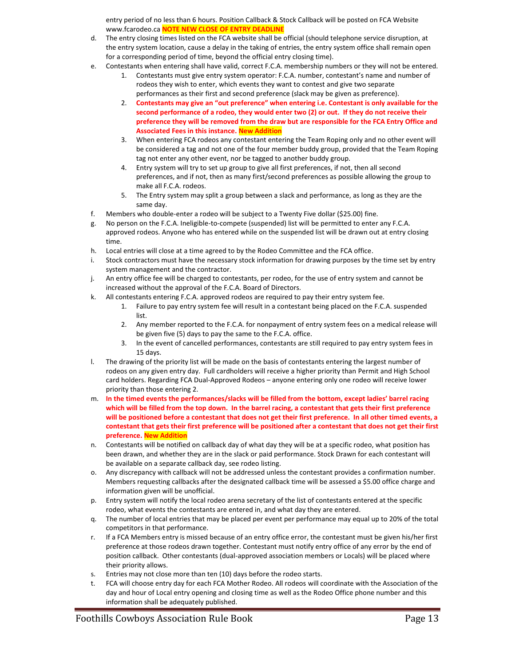entry period of no less than 6 hours. Position Callback & Stock Callback will be posted on FCA Website www.fcarodeo.ca **NOTE NEW CLOSE OF ENTRY DEADLINE**

- d. The entry closing times listed on the FCA website shall be official (should telephone service disruption, at the entry system location, cause a delay in the taking of entries, the entry system office shall remain open for a corresponding period of time, beyond the official entry closing time).
- e. Contestants when entering shall have valid, correct F.C.A. membership numbers or they will not be entered.
	- 1. Contestants must give entry system operator: F.C.A. number, contestant's name and number of rodeos they wish to enter, which events they want to contest and give two separate performances as their first and second preference (slack may be given as preference).
	- 2. **Contestants may give an "out preference" when entering i.e. Contestant is only available for the second performance of a rodeo, they would enter two (2) or out. If they do not receive their preference they will be removed from the draw but are responsible for the FCA Entry Office and Associated Fees in this instance. New Addition**
	- 3. When entering FCA rodeos any contestant entering the Team Roping only and no other event will be considered a tag and not one of the four member buddy group, provided that the Team Roping tag not enter any other event, nor be tagged to another buddy group.
	- 4. Entry system will try to set up group to give all first preferences, if not, then all second preferences, and if not, then as many first/second preferences as possible allowing the group to make all F.C.A. rodeos.
	- 5. The Entry system may split a group between a slack and performance, as long as they are the same day.
- f. Members who double-enter a rodeo will be subject to a Twenty Five dollar (\$25.00) fine.
- g. No person on the F.C.A. Ineligible-to-compete (suspended) list will be permitted to enter any F.C.A. approved rodeos. Anyone who has entered while on the suspended list will be drawn out at entry closing time.
- h. Local entries will close at a time agreed to by the Rodeo Committee and the FCA office.
- i. Stock contractors must have the necessary stock information for drawing purposes by the time set by entry system management and the contractor.
- j. An entry office fee will be charged to contestants, per rodeo, for the use of entry system and cannot be increased without the approval of the F.C.A. Board of Directors.
- k. All contestants entering F.C.A. approved rodeos are required to pay their entry system fee.
	- 1. Failure to pay entry system fee will result in a contestant being placed on the F.C.A. suspended list.
	- 2. Any member reported to the F.C.A. for nonpayment of entry system fees on a medical release will be given five (5) days to pay the same to the F.C.A. office.
	- 3. In the event of cancelled performances, contestants are still required to pay entry system fees in 15 days.
- l. The drawing of the priority list will be made on the basis of contestants entering the largest number of rodeos on any given entry day. Full cardholders will receive a higher priority than Permit and High School card holders. Regarding FCA Dual-Approved Rodeos – anyone entering only one rodeo will receive lower priority than those entering 2.
- m. **In the timed events the performances/slacks will be filled from the bottom, except ladies' barrel racing which will be filled from the top down. In the barrel racing, a contestant that gets their first preference will be positioned before a contestant that does not get their first preference. In all other timed events, a contestant that gets their first preference will be positioned after a contestant that does not get their first preference. New Addition**
- n. Contestants will be notified on callback day of what day they will be at a specific rodeo, what position has been drawn, and whether they are in the slack or paid performance. Stock Drawn for each contestant will be available on a separate callback day, see rodeo listing.
- o. Any discrepancy with callback will not be addressed unless the contestant provides a confirmation number. Members requesting callbacks after the designated callback time will be assessed a \$5.00 office charge and information given will be unofficial.
- p. Entry system will notify the local rodeo arena secretary of the list of contestants entered at the specific rodeo, what events the contestants are entered in, and what day they are entered.
- q. The number of local entries that may be placed per event per performance may equal up to 20% of the total competitors in that performance.
- r. If a FCA Members entry is missed because of an entry office error, the contestant must be given his/her first preference at those rodeos drawn together. Contestant must notify entry office of any error by the end of position callback. Other contestants (dual-approved association members or Locals) will be placed where their priority allows.
- s. Entries may not close more than ten (10) days before the rodeo starts.
- t. FCA will choose entry day for each FCA Mother Rodeo. All rodeos will coordinate with the Association of the day and hour of Local entry opening and closing time as well as the Rodeo Office phone number and this information shall be adequately published.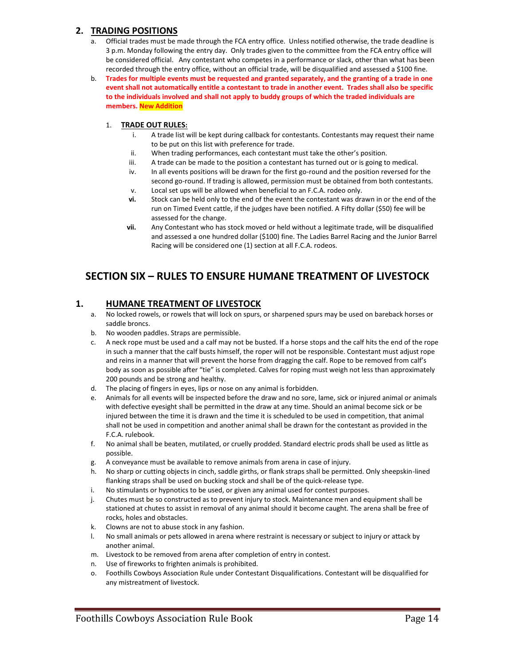### **2. TRADING POSITIONS**

- Official trades must be made through the FCA entry office. Unless notified otherwise, the trade deadline is 3 p.m. Monday following the entry day. Only trades given to the committee from the FCA entry office will be considered official. Any contestant who competes in a performance or slack, other than what has been recorded through the entry office, without an official trade, will be disqualified and assessed a \$100 fine.
- b. **Trades for multiple events must be requested and granted separately, and the granting of a trade in one event shall not automatically entitle a contestant to trade in another event. Trades shall also be specific to the individuals involved and shall not apply to buddy groups of which the traded individuals are members. New Addition**

#### 1. **TRADE OUT RULES:**

- i. A trade list will be kept during callback for contestants. Contestants may request their name to be put on this list with preference for trade.
- ii. When trading performances, each contestant must take the other's position.
- iii. A trade can be made to the position a contestant has turned out or is going to medical.
- iv. In all events positions will be drawn for the first go-round and the position reversed for the second go-round. If trading is allowed, permission must be obtained from both contestants.
- v. Local set ups will be allowed when beneficial to an F.C.A. rodeo only.
- **vi.** Stock can be held only to the end of the event the contestant was drawn in or the end of the run on Timed Event cattle, if the judges have been notified. A Fifty dollar (\$50) fee will be assessed for the change.
- **vii.** Any Contestant who has stock moved or held without a legitimate trade, will be disqualified and assessed a one hundred dollar (\$100) fine. The Ladies Barrel Racing and the Junior Barrel Racing will be considered one (1) section at all F.C.A. rodeos.

# **SECTION SIX – RULES TO ENSURE HUMANE TREATMENT OF LIVESTOCK**

### **1. HUMANE TREATMENT OF LIVESTOCK**

- a. No locked rowels, or rowels that will lock on spurs, or sharpened spurs may be used on bareback horses or saddle broncs.
- b. No wooden paddles. Straps are permissible.
- c. A neck rope must be used and a calf may not be busted. If a horse stops and the calf hits the end of the rope in such a manner that the calf busts himself, the roper will not be responsible. Contestant must adjust rope and reins in a manner that will prevent the horse from dragging the calf. Rope to be removed from calf's body as soon as possible after "tie" is completed. Calves for roping must weigh not less than approximately 200 pounds and be strong and healthy.
- d. The placing of fingers in eyes, lips or nose on any animal is forbidden.
- e. Animals for all events will be inspected before the draw and no sore, lame, sick or injured animal or animals with defective eyesight shall be permitted in the draw at any time. Should an animal become sick or be injured between the time it is drawn and the time it is scheduled to be used in competition, that animal shall not be used in competition and another animal shall be drawn for the contestant as provided in the F.C.A. rulebook.
- f. No animal shall be beaten, mutilated, or cruelly prodded. Standard electric prods shall be used as little as possible.
- g. A conveyance must be available to remove animals from arena in case of injury.
- h. No sharp or cutting objects in cinch, saddle girths, or flank straps shall be permitted. Only sheepskin-lined flanking straps shall be used on bucking stock and shall be of the quick-release type.
- i. No stimulants or hypnotics to be used, or given any animal used for contest purposes.
- j. Chutes must be so constructed as to prevent injury to stock. Maintenance men and equipment shall be stationed at chutes to assist in removal of any animal should it become caught. The arena shall be free of rocks, holes and obstacles.
- k. Clowns are not to abuse stock in any fashion.
- l. No small animals or pets allowed in arena where restraint is necessary or subject to injury or attack by another animal.
- m. Livestock to be removed from arena after completion of entry in contest.
- n. Use of fireworks to frighten animals is prohibited.
- o. Foothills Cowboys Association Rule under Contestant Disqualifications. Contestant will be disqualified for any mistreatment of livestock.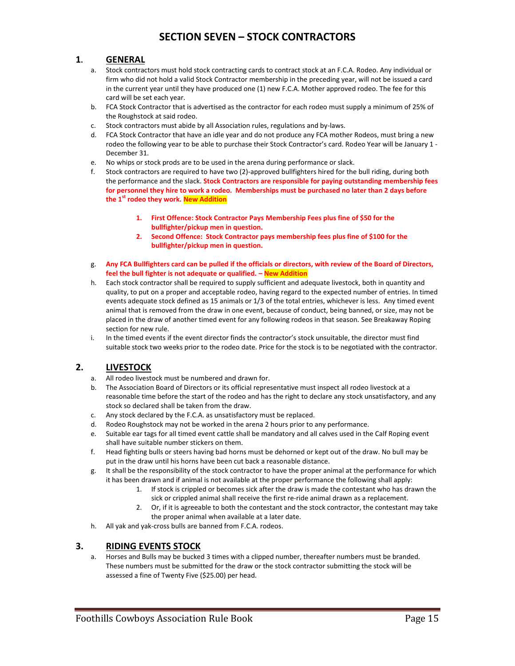# **SECTION SEVEN – STOCK CONTRACTORS**

### **1. GENERAL**

- a. Stock contractors must hold stock contracting cards to contract stock at an F.C.A. Rodeo. Any individual or firm who did not hold a valid Stock Contractor membership in the preceding year, will not be issued a card in the current year until they have produced one (1) new F.C.A. Mother approved rodeo. The fee for this card will be set each year.
- b. FCA Stock Contractor that is advertised as the contractor for each rodeo must supply a minimum of 25% of the Roughstock at said rodeo.
- c. Stock contractors must abide by all Association rules, regulations and by-laws.
- d. FCA Stock Contractor that have an idle year and do not produce any FCA mother Rodeos, must bring a new rodeo the following year to be able to purchase their Stock Contractor's card. Rodeo Year will be January 1 - December 31.
- e. No whips or stock prods are to be used in the arena during performance or slack.
- f. Stock contractors are required to have two (2)-approved bullfighters hired for the bull riding, during both the performance and the slack. **Stock Contractors are responsible for paying outstanding membership fees for personnel they hire to work a rodeo. Memberships must be purchased no later than 2 days before the 1st rodeo they work. New Addition**
	- **1. First Offence: Stock Contractor Pays Membership Fees plus fine of \$50 for the bullfighter/pickup men in question.**
	- **2. Second Offence: Stock Contractor pays membership fees plus fine of \$100 for the bullfighter/pickup men in question.**
- g. **Any FCA Bullfighters card can be pulled if the officials or directors, with review of the Board of Directors, feel the bull fighter is not adequate or qualified. – New Addition**
- h. Each stock contractor shall be required to supply sufficient and adequate livestock, both in quantity and quality, to put on a proper and acceptable rodeo, having regard to the expected number of entries. In timed events adequate stock defined as 15 animals or 1/3 of the total entries, whichever is less. Any timed event animal that is removed from the draw in one event, because of conduct, being banned, or size, may not be placed in the draw of another timed event for any following rodeos in that season. See Breakaway Roping section for new rule.
- i. In the timed events if the event director finds the contractor's stock unsuitable, the director must find suitable stock two weeks prior to the rodeo date. Price for the stock is to be negotiated with the contractor.

# **2. LIVESTOCK**

- a. All rodeo livestock must be numbered and drawn for.
- b. The Association Board of Directors or its official representative must inspect all rodeo livestock at a reasonable time before the start of the rodeo and has the right to declare any stock unsatisfactory, and any stock so declared shall be taken from the draw.
- c. Any stock declared by the F.C.A. as unsatisfactory must be replaced.
- d. Rodeo Roughstock may not be worked in the arena 2 hours prior to any performance.
- e. Suitable ear tags for all timed event cattle shall be mandatory and all calves used in the Calf Roping event shall have suitable number stickers on them.
- f. Head fighting bulls or steers having bad horns must be dehorned or kept out of the draw. No bull may be put in the draw until his horns have been cut back a reasonable distance.
- g. It shall be the responsibility of the stock contractor to have the proper animal at the performance for which it has been drawn and if animal is not available at the proper performance the following shall apply:
	- 1. If stock is crippled or becomes sick after the draw is made the contestant who has drawn the sick or crippled animal shall receive the first re-ride animal drawn as a replacement.
	- 2. Or, if it is agreeable to both the contestant and the stock contractor, the contestant may take the proper animal when available at a later date.
- h. All yak and yak-cross bulls are banned from F.C.A. rodeos.

### **3. RIDING EVENTS STOCK**

a. Horses and Bulls may be bucked 3 times with a clipped number, thereafter numbers must be branded. These numbers must be submitted for the draw or the stock contractor submitting the stock will be assessed a fine of Twenty Five (\$25.00) per head.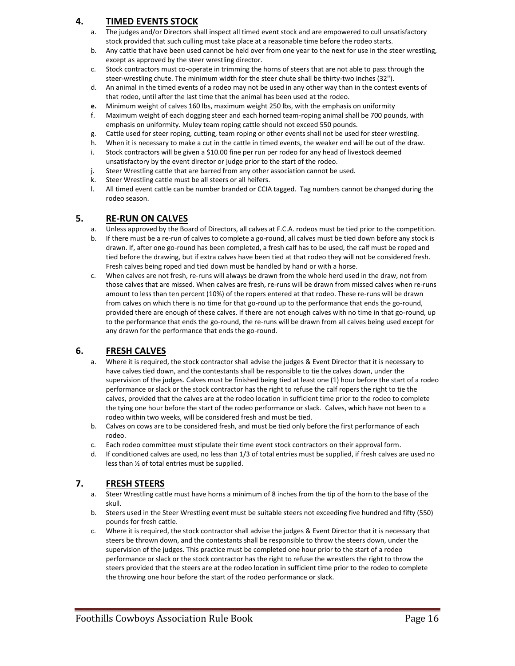# **4. TIMED EVENTS STOCK**

- a. The judges and/or Directors shall inspect all timed event stock and are empowered to cull unsatisfactory stock provided that such culling must take place at a reasonable time before the rodeo starts.
- b. Any cattle that have been used cannot be held over from one year to the next for use in the steer wrestling, except as approved by the steer wrestling director.
- c. Stock contractors must co-operate in trimming the horns of steers that are not able to pass through the steer-wrestling chute. The minimum width for the steer chute shall be thirty-two inches (32").
- d. An animal in the timed events of a rodeo may not be used in any other way than in the contest events of that rodeo, until after the last time that the animal has been used at the rodeo.
- **e.** Minimum weight of calves 160 lbs, maximum weight 250 lbs, with the emphasis on uniformity
- f. Maximum weight of each dogging steer and each horned team-roping animal shall be 700 pounds, with emphasis on uniformity. Muley team roping cattle should not exceed 550 pounds.
- g. Cattle used for steer roping, cutting, team roping or other events shall not be used for steer wrestling.
- h. When it is necessary to make a cut in the cattle in timed events, the weaker end will be out of the draw.
- i. Stock contractors will be given a \$10.00 fine per run per rodeo for any head of livestock deemed unsatisfactory by the event director or judge prior to the start of the rodeo.
- j. Steer Wrestling cattle that are barred from any other association cannot be used.
- k. Steer Wrestling cattle must be all steers or all heifers.
- l. All timed event cattle can be number branded or CCIA tagged. Tag numbers cannot be changed during the rodeo season.

### **5. RE-RUN ON CALVES**

- a. Unless approved by the Board of Directors, all calves at F.C.A. rodeos must be tied prior to the competition.
- b. If there must be a re-run of calves to complete a go-round, all calves must be tied down before any stock is drawn. If, after one go-round has been completed, a fresh calf has to be used, the calf must be roped and tied before the drawing, but if extra calves have been tied at that rodeo they will not be considered fresh. Fresh calves being roped and tied down must be handled by hand or with a horse.
- c. When calves are not fresh, re-runs will always be drawn from the whole herd used in the draw, not from those calves that are missed. When calves are fresh, re-runs will be drawn from missed calves when re-runs amount to less than ten percent (10%) of the ropers entered at that rodeo. These re-runs will be drawn from calves on which there is no time for that go-round up to the performance that ends the go-round, provided there are enough of these calves. If there are not enough calves with no time in that go-round, up to the performance that ends the go-round, the re-runs will be drawn from all calves being used except for any drawn for the performance that ends the go-round.

# **6. FRESH CALVES**

- a. Where it is required, the stock contractor shall advise the judges & Event Director that it is necessary to have calves tied down, and the contestants shall be responsible to tie the calves down, under the supervision of the judges. Calves must be finished being tied at least one (1) hour before the start of a rodeo performance or slack or the stock contractor has the right to refuse the calf ropers the right to tie the calves, provided that the calves are at the rodeo location in sufficient time prior to the rodeo to complete the tying one hour before the start of the rodeo performance or slack. Calves, which have not been to a rodeo within two weeks, will be considered fresh and must be tied.
- b. Calves on cows are to be considered fresh, and must be tied only before the first performance of each rodeo.
- c. Each rodeo committee must stipulate their time event stock contractors on their approval form.
- d. If conditioned calves are used, no less than 1/3 of total entries must be supplied, if fresh calves are used no less than ½ of total entries must be supplied.

# **7. FRESH STEERS**

- a. Steer Wrestling cattle must have horns a minimum of 8 inches from the tip of the horn to the base of the skull.
- b. Steers used in the Steer Wrestling event must be suitable steers not exceeding five hundred and fifty (550) pounds for fresh cattle.
- c. Where it is required, the stock contractor shall advise the judges & Event Director that it is necessary that steers be thrown down, and the contestants shall be responsible to throw the steers down, under the supervision of the judges. This practice must be completed one hour prior to the start of a rodeo performance or slack or the stock contractor has the right to refuse the wrestlers the right to throw the steers provided that the steers are at the rodeo location in sufficient time prior to the rodeo to complete the throwing one hour before the start of the rodeo performance or slack.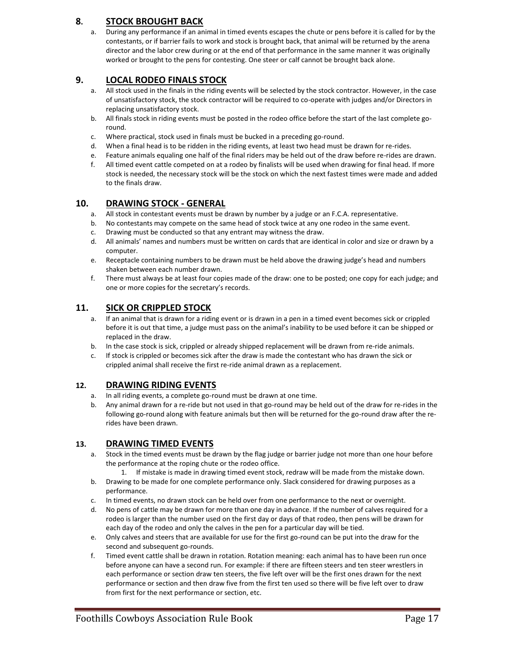# **8. STOCK BROUGHT BACK**

a. During any performance if an animal in timed events escapes the chute or pens before it is called for by the contestants, or if barrier fails to work and stock is brought back, that animal will be returned by the arena director and the labor crew during or at the end of that performance in the same manner it was originally worked or brought to the pens for contesting. One steer or calf cannot be brought back alone.

### **9. LOCAL RODEO FINALS STOCK**

- a. All stock used in the finals in the riding events will be selected by the stock contractor. However, in the case of unsatisfactory stock, the stock contractor will be required to co-operate with judges and/or Directors in replacing unsatisfactory stock.
- b. All finals stock in riding events must be posted in the rodeo office before the start of the last complete goround.
- c. Where practical, stock used in finals must be bucked in a preceding go-round.
- d. When a final head is to be ridden in the riding events, at least two head must be drawn for re-rides.
- e. Feature animals equaling one half of the final riders may be held out of the draw before re-rides are drawn.
- f. All timed event cattle competed on at a rodeo by finalists will be used when drawing for final head. If more stock is needed, the necessary stock will be the stock on which the next fastest times were made and added to the finals draw.

# **10. DRAWING STOCK - GENERAL**

- a. All stock in contestant events must be drawn by number by a judge or an F.C.A. representative.
- b. No contestants may compete on the same head of stock twice at any one rodeo in the same event.
- c. Drawing must be conducted so that any entrant may witness the draw.
- d. All animals' names and numbers must be written on cards that are identical in color and size or drawn by a computer.
- e. Receptacle containing numbers to be drawn must be held above the drawing judge's head and numbers shaken between each number drawn.
- f. There must always be at least four copies made of the draw: one to be posted; one copy for each judge; and one or more copies for the secretary's records.

### **11. SICK OR CRIPPLED STOCK**

- a. If an animal that is drawn for a riding event or is drawn in a pen in a timed event becomes sick or crippled before it is out that time, a judge must pass on the animal's inability to be used before it can be shipped or replaced in the draw.
- b. In the case stock is sick, crippled or already shipped replacement will be drawn from re-ride animals.
- c. If stock is crippled or becomes sick after the draw is made the contestant who has drawn the sick or crippled animal shall receive the first re-ride animal drawn as a replacement.

### **12. DRAWING RIDING EVENTS**

- a. In all riding events, a complete go-round must be drawn at one time.
- b. Any animal drawn for a re-ride but not used in that go-round may be held out of the draw for re-rides in the following go-round along with feature animals but then will be returned for the go-round draw after the rerides have been drawn.

### **13. DRAWING TIMED EVENTS**

- a. Stock in the timed events must be drawn by the flag judge or barrier judge not more than one hour before the performance at the roping chute or the rodeo office.
	- 1. If mistake is made in drawing timed event stock, redraw will be made from the mistake down.
- b. Drawing to be made for one complete performance only. Slack considered for drawing purposes as a performance.
- c. In timed events, no drawn stock can be held over from one performance to the next or overnight.
- d. No pens of cattle may be drawn for more than one day in advance. If the number of calves required for a rodeo is larger than the number used on the first day or days of that rodeo, then pens will be drawn for each day of the rodeo and only the calves in the pen for a particular day will be tied.
- e. Only calves and steers that are available for use for the first go-round can be put into the draw for the second and subsequent go-rounds.
- f. Timed event cattle shall be drawn in rotation. Rotation meaning: each animal has to have been run once before anyone can have a second run. For example: if there are fifteen steers and ten steer wrestlers in each performance or section draw ten steers, the five left over will be the first ones drawn for the next performance or section and then draw five from the first ten used so there will be five left over to draw from first for the next performance or section, etc.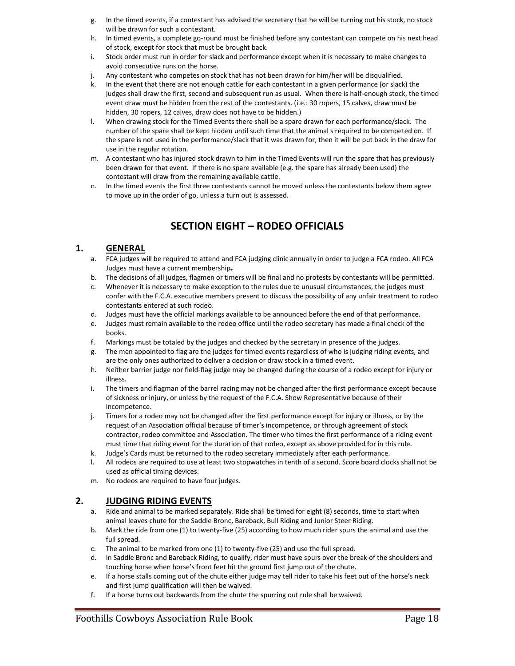- g. In the timed events, if a contestant has advised the secretary that he will be turning out his stock, no stock will be drawn for such a contestant.
- h. In timed events, a complete go-round must be finished before any contestant can compete on his next head of stock, except for stock that must be brought back.
- i. Stock order must run in order for slack and performance except when it is necessary to make changes to avoid consecutive runs on the horse.
- j. Any contestant who competes on stock that has not been drawn for him/her will be disqualified.
- k. In the event that there are not enough cattle for each contestant in a given performance (or slack) the judges shall draw the first, second and subsequent run as usual. When there is half-enough stock, the timed event draw must be hidden from the rest of the contestants. (i.e.: 30 ropers, 15 calves, draw must be hidden, 30 ropers, 12 calves, draw does not have to be hidden.)
- l. When drawing stock for the Timed Events there shall be a spare drawn for each performance/slack. The number of the spare shall be kept hidden until such time that the animal s required to be competed on. If the spare is not used in the performance/slack that it was drawn for, then it will be put back in the draw for use in the regular rotation.
- m. A contestant who has injured stock drawn to him in the Timed Events will run the spare that has previously been drawn for that event. If there is no spare available (e.g. the spare has already been used) the contestant will draw from the remaining available cattle.
- n. In the timed events the first three contestants cannot be moved unless the contestants below them agree to move up in the order of go, unless a turn out is assessed.

# **SECTION EIGHT – RODEO OFFICIALS**

### **1. GENERAL**

- a. FCA judges will be required to attend and FCA judging clinic annually in order to judge a FCA rodeo. All FCA Judges must have a current membership.
- b. The decisions of all judges, flagmen or timers will be final and no protests by contestants will be permitted.
- c. Whenever it is necessary to make exception to the rules due to unusual circumstances, the judges must confer with the F.C.A. executive members present to discuss the possibility of any unfair treatment to rodeo contestants entered at such rodeo.
- d. Judges must have the official markings available to be announced before the end of that performance.
- e. Judges must remain available to the rodeo office until the rodeo secretary has made a final check of the books.
- f. Markings must be totaled by the judges and checked by the secretary in presence of the judges.
- g. The men appointed to flag are the judges for timed events regardless of who is judging riding events, and are the only ones authorized to deliver a decision or draw stock in a timed event.
- h. Neither barrier judge nor field-flag judge may be changed during the course of a rodeo except for injury or illness.
- i. The timers and flagman of the barrel racing may not be changed after the first performance except because of sickness or injury, or unless by the request of the F.C.A. Show Representative because of their incompetence.
- j. Timers for a rodeo may not be changed after the first performance except for injury or illness, or by the request of an Association official because of timer's incompetence, or through agreement of stock contractor, rodeo committee and Association. The timer who times the first performance of a riding event must time that riding event for the duration of that rodeo, except as above provided for in this rule.
- k. Judge's Cards must be returned to the rodeo secretary immediately after each performance.
- l. All rodeos are required to use at least two stopwatches in tenth of a second. Score board clocks shall not be used as official timing devices.
- m. No rodeos are required to have four judges.

### **2. JUDGING RIDING EVENTS**

- a. Ride and animal to be marked separately. Ride shall be timed for eight (8) seconds, time to start when animal leaves chute for the Saddle Bronc, Bareback, Bull Riding and Junior Steer Riding.
- b. Mark the ride from one (1) to twenty-five (25) according to how much rider spurs the animal and use the full spread.
- c. The animal to be marked from one (1) to twenty-five (25) and use the full spread.
- d. In Saddle Bronc and Bareback Riding, to qualify, rider must have spurs over the break of the shoulders and touching horse when horse's front feet hit the ground first jump out of the chute.
- e. If a horse stalls coming out of the chute either judge may tell rider to take his feet out of the horse's neck and first jump qualification will then be waived.
- f. If a horse turns out backwards from the chute the spurring out rule shall be waived.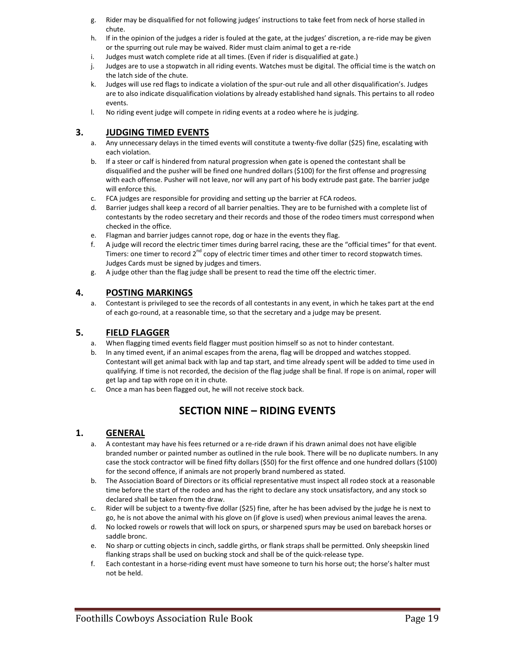- g. Rider may be disqualified for not following judges' instructions to take feet from neck of horse stalled in chute.
- h. If in the opinion of the judges a rider is fouled at the gate, at the judges' discretion, a re-ride may be given or the spurring out rule may be waived. Rider must claim animal to get a re-ride
- i. Judges must watch complete ride at all times. (Even if rider is disqualified at gate.)
- j. Judges are to use a stopwatch in all riding events. Watches must be digital. The official time is the watch on the latch side of the chute.
- k. Judges will use red flags to indicate a violation of the spur-out rule and all other disqualification's. Judges are to also indicate disqualification violations by already established hand signals. This pertains to all rodeo events.
- l. No riding event judge will compete in riding events at a rodeo where he is judging.

# **3. JUDGING TIMED EVENTS**

- a. Any unnecessary delays in the timed events will constitute a twenty-five dollar (\$25) fine, escalating with each violation.
- b. If a steer or calf is hindered from natural progression when gate is opened the contestant shall be disqualified and the pusher will be fined one hundred dollars (\$100) for the first offense and progressing with each offense. Pusher will not leave, nor will any part of his body extrude past gate. The barrier judge will enforce this.
- c. FCA judges are responsible for providing and setting up the barrier at FCA rodeos.
- d. Barrier judges shall keep a record of all barrier penalties. They are to be furnished with a complete list of contestants by the rodeo secretary and their records and those of the rodeo timers must correspond when checked in the office.
- e. Flagman and barrier judges cannot rope, dog or haze in the events they flag.
- f. A judge will record the electric timer times during barrel racing, these are the "official times" for that event. Timers: one timer to record  $2<sup>nd</sup>$  copy of electric timer times and other timer to record stopwatch times. Judges Cards must be signed by judges and timers.
- g. A judge other than the flag judge shall be present to read the time off the electric timer.

### **4. POSTING MARKINGS**

a. Contestant is privileged to see the records of all contestants in any event, in which he takes part at the end of each go-round, at a reasonable time, so that the secretary and a judge may be present.

### **5. FIELD FLAGGER**

- a. When flagging timed events field flagger must position himself so as not to hinder contestant.
- b. In any timed event, if an animal escapes from the arena, flag will be dropped and watches stopped. Contestant will get animal back with lap and tap start, and time already spent will be added to time used in qualifying. If time is not recorded, the decision of the flag judge shall be final. If rope is on animal, roper will get lap and tap with rope on it in chute.
- c. Once a man has been flagged out, he will not receive stock back.

# **SECTION NINE – RIDING EVENTS**

### **1. GENERAL**

- a. A contestant may have his fees returned or a re-ride drawn if his drawn animal does not have eligible branded number or painted number as outlined in the rule book. There will be no duplicate numbers. In any case the stock contractor will be fined fifty dollars (\$50) for the first offence and one hundred dollars (\$100) for the second offence, if animals are not properly brand numbered as stated.
- b. The Association Board of Directors or its official representative must inspect all rodeo stock at a reasonable time before the start of the rodeo and has the right to declare any stock unsatisfactory, and any stock so declared shall be taken from the draw.
- c. Rider will be subject to a twenty-five dollar (\$25) fine, after he has been advised by the judge he is next to go, he is not above the animal with his glove on (if glove is used) when previous animal leaves the arena.
- d. No locked rowels or rowels that will lock on spurs, or sharpened spurs may be used on bareback horses or saddle bronc.
- e. No sharp or cutting objects in cinch, saddle girths, or flank straps shall be permitted. Only sheepskin lined flanking straps shall be used on bucking stock and shall be of the quick-release type.
- f. Each contestant in a horse-riding event must have someone to turn his horse out; the horse's halter must not be held.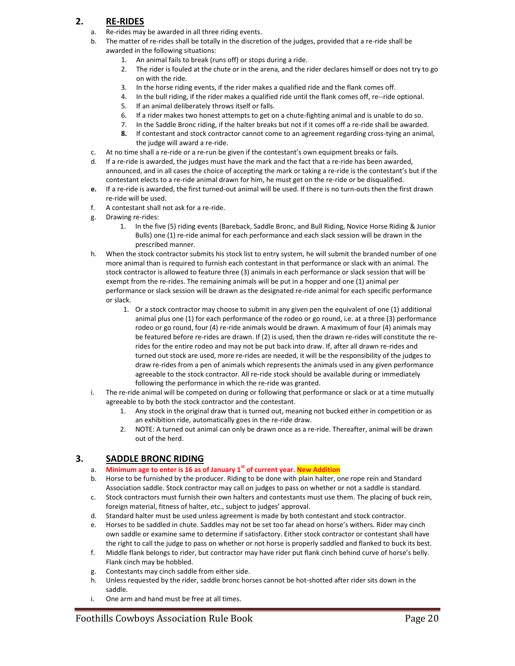# **2. RE-RIDES**

- a. Re-rides may be awarded in all three riding events.
- b. The matter of re-rides shall be totally in the discretion of the judges, provided that a re-ride shall be awarded in the following situations:
	- 1. An animal fails to break (runs off) or stops during a ride.
	- 2. The rider is fouled at the chute or in the arena, and the rider declares himself or does not try to go on with the ride.
	- 3. In the horse riding events, if the rider makes a qualified ride and the flank comes off.
	- 4. In the bull riding, if the rider makes a qualified ride until the flank comes off, re--ride optional.
	- 5. If an animal deliberately throws itself or falls.
	- 6. If a rider makes two honest attempts to get on a chute-fighting animal and is unable to do so.
	- 7. In the Saddle Bronc riding, if the halter breaks but not if it comes off a re-ride shall be awarded. **8.** If contestant and stock contractor cannot come to an agreement regarding cross-tying an animal,
	- the judge will award a re-ride.
- c. At no time shall a re-ride or a re-run be given if the contestant's own equipment breaks or fails.
- d. If a re-ride is awarded, the judges must have the mark and the fact that a re-ride has been awarded, announced, and in all cases the choice of accepting the mark or taking a re-ride is the contestant's but if the contestant elects to a re-ride animal drawn for him, he must get on the re-ride or be disqualified.
- **e.** If a re-ride is awarded, the first turned-out animal will be used. If there is no turn-outs then the first drawn re-ride will be used.
- f. A contestant shall not ask for a re-ride.
- g. Drawing re-rides:
	- 1. In the five (5) riding events (Bareback, Saddle Bronc, and Bull Riding, Novice Horse Riding & Junior Bulls) one (1) re-ride animal for each performance and each slack session will be drawn in the prescribed manner.
- h. When the stock contractor submits his stock list to entry system, he will submit the branded number of one more animal than is required to furnish each contestant in that performance or slack with an animal. The stock contractor is allowed to feature three (3) animals in each performance or slack session that will be exempt from the re-rides. The remaining animals will be put in a hopper and one (1) animal per performance or slack session will be drawn as the designated re-ride animal for each specific performance or slack.
	- 1. Or a stock contractor may choose to submit in any given pen the equivalent of one (1) additional animal plus one (1) for each performance of the rodeo or go round, i.e. at a three (3) performance rodeo or go round, four (4) re-ride animals would be drawn. A maximum of four (4) animals may be featured before re-rides are drawn. If (2) is used, then the drawn re-rides will constitute the rerides for the entire rodeo and may not be put back into draw. If, after all drawn re-rides and turned out stock are used, more re-rides are needed, it will be the responsibility of the judges to draw re-rides from a pen of animals which represents the animals used in any given performance agreeable to the stock contractor. All re-ride stock should be available during or immediately following the performance in which the re-ride was granted.
- i. The re-ride animal will be competed on during or following that performance or slack or at a time mutually agreeable to by both the stock contractor and the contestant.
	- 1. Any stock in the original draw that is turned out, meaning not bucked either in competition or as an exhibition ride, automatically goes in the re-ride draw.
	- 2. NOTE: A turned out animal can only be drawn once as a re-ride. Thereafter, animal will be drawn out of the herd.

### **3. SADDLE BRONC RIDING**

- a. **Minimum age to enter is 16 as of January 1st of current year. New Addition**
- b. Horse to be furnished by the producer. Riding to be done with plain halter, one rope rein and Standard Association saddle. Stock contractor may call on judges to pass on whether or not a saddle is standard.
- c. Stock contractors must furnish their own halters and contestants must use them. The placing of buck rein, foreign material, fitness of halter, etc., subject to judges' approval.
- d. Standard halter must be used unless agreement is made by both contestant and stock contractor.
- e. Horses to be saddled in chute. Saddles may not be set too far ahead on horse's withers. Rider may cinch own saddle or examine same to determine if satisfactory. Either stock contractor or contestant shall have the right to call the judge to pass on whether or not horse is properly saddled and flanked to buck its best.
- f. Middle flank belongs to rider, but contractor may have rider put flank cinch behind curve of horse's belly. Flank cinch may be hobbled.
- g. Contestants may cinch saddle from either side.
- h. Unless requested by the rider, saddle bronc horses cannot be hot-shotted after rider sits down in the saddle.
- i. One arm and hand must be free at all times.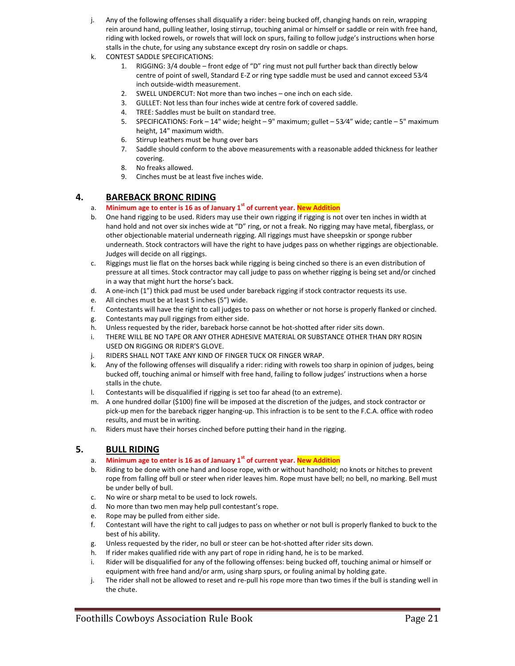- j. Any of the following offenses shall disqualify a rider: being bucked off, changing hands on rein, wrapping rein around hand, pulling leather, losing stirrup, touching animal or himself or saddle or rein with free hand, riding with locked rowels, or rowels that will lock on spurs, failing to follow judge's instructions when horse stalls in the chute, for using any substance except dry rosin on saddle or chaps.
- k. CONTEST SADDLE SPECIFICATIONS:
	- 1. RIGGING: 3/4 double front edge of "D" ring must not pull further back than directly below centre of point of swell, Standard E-Z or ring type saddle must be used and cannot exceed 53⁄4 inch outside-width measurement.
	- 2. SWELL UNDERCUT: Not more than two inches one inch on each side.
	- 3. GULLET: Not less than four inches wide at centre fork of covered saddle.
	- 4. TREE: Saddles must be built on standard tree.
	- 5. SPECIFICATIONS: Fork 14" wide; height 9" maximum; gullet 53⁄4" wide; cantle 5" maximum height, 14" maximum width.
	- 6. Stirrup leathers must be hung over bars
	- 7. Saddle should conform to the above measurements with a reasonable added thickness for leather covering.
	- 8. No freaks allowed.
	- 9. Cinches must be at least five inches wide.

### **4. BAREBACK BRONC RIDING**

- a. **Minimum age to enter is 16 as of January 1st of current year. New Addition**
- b. One hand rigging to be used. Riders may use their own rigging if rigging is not over ten inches in width at hand hold and not over six inches wide at "D" ring, or not a freak. No rigging may have metal, fiberglass, or other objectionable material underneath rigging. All riggings must have sheepskin or sponge rubber underneath. Stock contractors will have the right to have judges pass on whether riggings are objectionable. Judges will decide on all riggings.
- c. Riggings must lie flat on the horses back while rigging is being cinched so there is an even distribution of pressure at all times. Stock contractor may call judge to pass on whether rigging is being set and/or cinched in a way that might hurt the horse's back.
- d. A one-inch (1") thick pad must be used under bareback rigging if stock contractor requests its use.
- e. All cinches must be at least 5 inches (5") wide.
- f. Contestants will have the right to call judges to pass on whether or not horse is properly flanked or cinched.
- g. Contestants may pull riggings from either side.
- h. Unless requested by the rider, bareback horse cannot be hot-shotted after rider sits down.<br>i. THERE WILL BE NO TAPE OR ANY OTHER ADHESIVE MATERIAL OR SUBSTANCE OTHER THAN
- THERE WILL BE NO TAPE OR ANY OTHER ADHESIVE MATERIAL OR SUBSTANCE OTHER THAN DRY ROSIN USED ON RIGGING OR RIDER'S GLOVE.
- j. RIDERS SHALL NOT TAKE ANY KIND OF FINGER TUCK OR FINGER WRAP.
- k. Any of the following offenses will disqualify a rider: riding with rowels too sharp in opinion of judges, being bucked off, touching animal or himself with free hand, failing to follow judges' instructions when a horse stalls in the chute.
- l. Contestants will be disqualified if rigging is set too far ahead (to an extreme).
- m. A one hundred dollar (\$100) fine will be imposed at the discretion of the judges, and stock contractor or pick-up men for the bareback rigger hanging-up. This infraction is to be sent to the F.C.A. office with rodeo results, and must be in writing.
- n. Riders must have their horses cinched before putting their hand in the rigging.

### **5. BULL RIDING**

- a. **Minimum age to enter is 16 as of January 1st of current year. New Addition**
- b. Riding to be done with one hand and loose rope, with or without handhold; no knots or hitches to prevent rope from falling off bull or steer when rider leaves him. Rope must have bell; no bell, no marking. Bell must be under belly of bull.
- c. No wire or sharp metal to be used to lock rowels.
- d. No more than two men may help pull contestant's rope.
- e. Rope may be pulled from either side.
- f. Contestant will have the right to call judges to pass on whether or not bull is properly flanked to buck to the best of his ability.
- g. Unless requested by the rider, no bull or steer can be hot-shotted after rider sits down.
- h. If rider makes qualified ride with any part of rope in riding hand, he is to be marked.
- i. Rider will be disqualified for any of the following offenses: being bucked off, touching animal or himself or equipment with free hand and/or arm, using sharp spurs, or fouling animal by holding gate.
- j. The rider shall not be allowed to reset and re-pull his rope more than two times if the bull is standing well in the chute.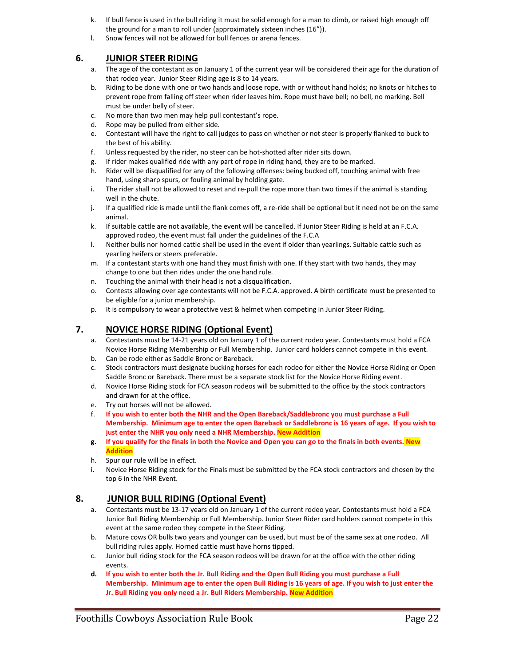- k. If bull fence is used in the bull riding it must be solid enough for a man to climb, or raised high enough off the ground for a man to roll under (approximately sixteen inches (16")).
- l. Snow fences will not be allowed for bull fences or arena fences.

### **6. JUNIOR STEER RIDING**

- a. The age of the contestant as on January 1 of the current year will be considered their age for the duration of that rodeo year. Junior Steer Riding age is 8 to 14 years.
- b. Riding to be done with one or two hands and loose rope, with or without hand holds; no knots or hitches to prevent rope from falling off steer when rider leaves him. Rope must have bell; no bell, no marking. Bell must be under belly of steer.
- c. No more than two men may help pull contestant's rope.
- d. Rope may be pulled from either side.
- e. Contestant will have the right to call judges to pass on whether or not steer is properly flanked to buck to the best of his ability.
- f. Unless requested by the rider, no steer can be hot-shotted after rider sits down.
- g. If rider makes qualified ride with any part of rope in riding hand, they are to be marked.
- h. Rider will be disqualified for any of the following offenses: being bucked off, touching animal with free hand, using sharp spurs, or fouling animal by holding gate.
- i. The rider shall not be allowed to reset and re-pull the rope more than two times if the animal is standing well in the chute.
- j. If a qualified ride is made until the flank comes off, a re-ride shall be optional but it need not be on the same animal.
- k. If suitable cattle are not available, the event will be cancelled. If Junior Steer Riding is held at an F.C.A. approved rodeo, the event must fall under the guidelines of the F.C.A
- l. Neither bulls nor horned cattle shall be used in the event if older than yearlings. Suitable cattle such as yearling heifers or steers preferable.
- m. If a contestant starts with one hand they must finish with one. If they start with two hands, they may change to one but then rides under the one hand rule.
- n. Touching the animal with their head is not a disqualification.
- o. Contests allowing over age contestants will not be F.C.A. approved. A birth certificate must be presented to be eligible for a junior membership.
- p. It is compulsory to wear a protective vest & helmet when competing in Junior Steer Riding.

# **7. NOVICE HORSE RIDING (Optional Event)**

- a. Contestants must be 14-21 years old on January 1 of the current rodeo year. Contestants must hold a FCA Novice Horse Riding Membership or Full Membership. Junior card holders cannot compete in this event.
- b. Can be rode either as Saddle Bronc or Bareback.
- c. Stock contractors must designate bucking horses for each rodeo for either the Novice Horse Riding or Open Saddle Bronc or Bareback. There must be a separate stock list for the Novice Horse Riding event.
- d. Novice Horse Riding stock for FCA season rodeos will be submitted to the office by the stock contractors and drawn for at the office.
- e. Try out horses will not be allowed.
- f. **If you wish to enter both the NHR and the Open Bareback/Saddlebronc you must purchase a Full Membership. Minimum age to enter the open Bareback or Saddlebronc is 16 years of age. If you wish to just enter the NHR you only need a NHR Membership. New Addition**
- **g. If you qualify for the finals in both the Novice and Open you can go to the finals in both events. New Addition**
- h. Spur our rule will be in effect.
- i. Novice Horse Riding stock for the Finals must be submitted by the FCA stock contractors and chosen by the top 6 in the NHR Event.

### **8. JUNIOR BULL RIDING (Optional Event)**

- a. Contestants must be 13-17 years old on January 1 of the current rodeo year. Contestants must hold a FCA Junior Bull Riding Membership or Full Membership. Junior Steer Rider card holders cannot compete in this event at the same rodeo they compete in the Steer Riding.
- b. Mature cows OR bulls two years and younger can be used, but must be of the same sex at one rodeo.All bull riding rules apply. Horned cattle must have horns tipped.
- c. Junior bull riding stock for the FCA season rodeos will be drawn for at the office with the other riding events.
- **d. If you wish to enter both the Jr. Bull Riding and the Open Bull Riding you must purchase a Full Membership. Minimum age to enter the open Bull Riding is 16 years of age. If you wish to just enter the Jr. Bull Riding you only need a Jr. Bull Riders Membership. New Addition**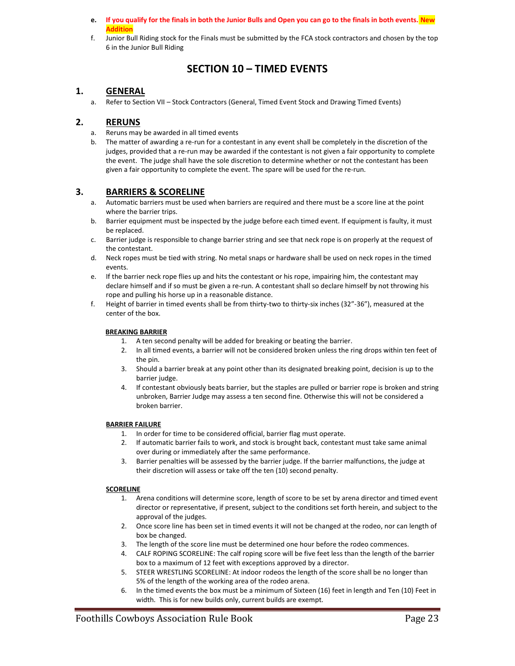- **e. If you qualify for the finals in both the Junior Bulls and Open you can go to the finals in both events. New Addition**
- f. Junior Bull Riding stock for the Finals must be submitted by the FCA stock contractors and chosen by the top 6 in the Junior Bull Riding

# **SECTION 10 – TIMED EVENTS**

### **1. GENERAL**

a. Refer to Section VII – Stock Contractors (General, Timed Event Stock and Drawing Timed Events)

### **2. RERUNS**

- a. Reruns may be awarded in all timed events
- b. The matter of awarding a re-run for a contestant in any event shall be completely in the discretion of the judges, provided that a re-run may be awarded if the contestant is not given a fair opportunity to complete the event. The judge shall have the sole discretion to determine whether or not the contestant has been given a fair opportunity to complete the event. The spare will be used for the re-run.

### **3. BARRIERS & SCORELINE**

- a. Automatic barriers must be used when barriers are required and there must be a score line at the point where the barrier trips.
- b. Barrier equipment must be inspected by the judge before each timed event. If equipment is faulty, it must be replaced.
- c. Barrier judge is responsible to change barrier string and see that neck rope is on properly at the request of the contestant.
- d. Neck ropes must be tied with string. No metal snaps or hardware shall be used on neck ropes in the timed events.
- e. If the barrier neck rope flies up and hits the contestant or his rope, impairing him, the contestant may declare himself and if so must be given a re-run. A contestant shall so declare himself by not throwing his rope and pulling his horse up in a reasonable distance.
- f. Height of barrier in timed events shall be from thirty-two to thirty-six inches (32"-36"), measured at the center of the box.

#### **BREAKING BARRIER**

- 1. A ten second penalty will be added for breaking or beating the barrier.
- 2. In all timed events, a barrier will not be considered broken unless the ring drops within ten feet of the pin.
- 3. Should a barrier break at any point other than its designated breaking point, decision is up to the barrier judge.
- 4. If contestant obviously beats barrier, but the staples are pulled or barrier rope is broken and string unbroken, Barrier Judge may assess a ten second fine. Otherwise this will not be considered a broken barrier.

#### **BARRIER FAILURE**

- 1. In order for time to be considered official, barrier flag must operate.
- 2. If automatic barrier fails to work, and stock is brought back, contestant must take same animal over during or immediately after the same performance.
- 3. Barrier penalties will be assessed by the barrier judge. If the barrier malfunctions, the judge at their discretion will assess or take off the ten (10) second penalty.

#### **SCORELINE**

- 1. Arena conditions will determine score, length of score to be set by arena director and timed event director or representative, if present, subject to the conditions set forth herein, and subject to the approval of the judges.
- 2. Once score line has been set in timed events it will not be changed at the rodeo, nor can length of box be changed.
- 3. The length of the score line must be determined one hour before the rodeo commences.
- 4. CALF ROPING SCORELINE: The calf roping score will be five feet less than the length of the barrier box to a maximum of 12 feet with exceptions approved by a director.
- 5. STEER WRESTLING SCORELINE: At indoor rodeos the length of the score shall be no longer than 5% of the length of the working area of the rodeo arena.
- 6. In the timed events the box must be a minimum of Sixteen (16) feet in length and Ten (10) Feet in width. This is for new builds only, current builds are exempt.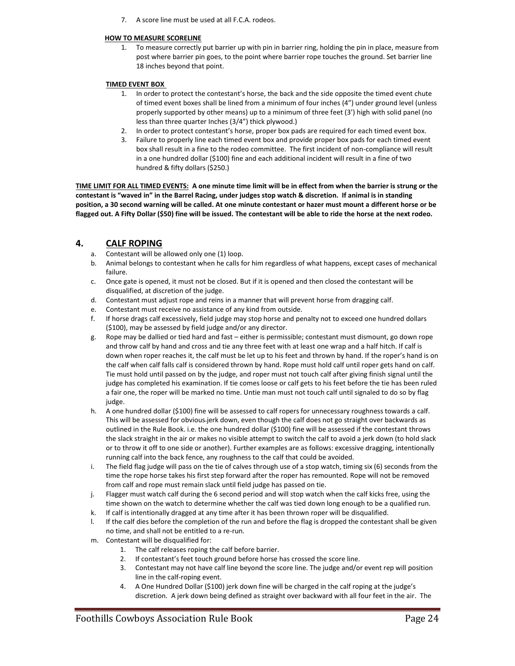7. A score line must be used at all F.C.A. rodeos.

#### **HOW TO MEASURE SCORELINE**

1. To measure correctly put barrier up with pin in barrier ring, holding the pin in place, measure from post where barrier pin goes, to the point where barrier rope touches the ground. Set barrier line 18 inches beyond that point.

#### **TIMED EVENT BOX**

- 1. In order to protect the contestant's horse, the back and the side opposite the timed event chute of timed event boxes shall be lined from a minimum of four inches (4") under ground level (unless properly supported by other means) up to a minimum of three feet (3') high with solid panel (no less than three quarter Inches (3/4") thick plywood.)
- 2. In order to protect contestant's horse, proper box pads are required for each timed event box.
- 3. Failure to properly line each timed event box and provide proper box pads for each timed event box shall result in a fine to the rodeo committee. The first incident of non-compliance will result in a one hundred dollar (\$100) fine and each additional incident will result in a fine of two hundred & fifty dollars (\$250.)

**TIME LIMIT FOR ALL TIMED EVENTS: A one minute time limit will be in effect from when the barrier is strung or the contestant is "waved in" in the Barrel Racing, under judges stop watch & discretion. If animal is in standing position, a 30 second warning will be called. At one minute contestant or hazer must mount a different horse or be flagged out. A Fifty Dollar (\$50) fine will be issued. The contestant will be able to ride the horse at the next rodeo.**

### **4. CALF ROPING**

- a. Contestant will be allowed only one (1) loop.
- b. Animal belongs to contestant when he calls for him regardless of what happens, except cases of mechanical failure.
- c. Once gate is opened, it must not be closed. But if it is opened and then closed the contestant will be disqualified, at discretion of the judge.
- d. Contestant must adjust rope and reins in a manner that will prevent horse from dragging calf.
- e. Contestant must receive no assistance of any kind from outside.
- f. If horse drags calf excessively, field judge may stop horse and penalty not to exceed one hundred dollars (\$100), may be assessed by field judge and/or any director.
- g. Rope may be dallied or tied hard and fast either is permissible; contestant must dismount, go down rope and throw calf by hand and cross and tie any three feet with at least one wrap and a half hitch. If calf is down when roper reaches it, the calf must be let up to his feet and thrown by hand. If the roper's hand is on the calf when calf falls calf is considered thrown by hand. Rope must hold calf until roper gets hand on calf. Tie must hold until passed on by the judge, and roper must not touch calf after giving finish signal until the judge has completed his examination. If tie comes loose or calf gets to his feet before the tie has been ruled a fair one, the roper will be marked no time. Untie man must not touch calf until signaled to do so by flag judge.
- h. A one hundred dollar (\$100) fine will be assessed to calf ropers for unnecessary roughness towards a calf. This will be assessed for obvious jerk down, even though the calf does not go straight over backwards as outlined in the Rule Book. i.e. the one hundred dollar (\$100) fine will be assessed if the contestant throws the slack straight in the air or makes no visible attempt to switch the calf to avoid a jerk down (to hold slack or to throw it off to one side or another). Further examples are as follows: excessive dragging, intentionally running calf into the back fence, any roughness to the calf that could be avoided.
- i. The field flag judge will pass on the tie of calves through use of a stop watch, timing six (6) seconds from the time the rope horse takes his first step forward after the roper has remounted. Rope will not be removed from calf and rope must remain slack until field judge has passed on tie.
- j. Flagger must watch calf during the 6 second period and will stop watch when the calf kicks free, using the time shown on the watch to determine whether the calf was tied down long enough to be a qualified run.
- k. If calf is intentionally dragged at any time after it has been thrown roper will be disqualified.
- l. If the calf dies before the completion of the run and before the flag is dropped the contestant shall be given no time, and shall not be entitled to a re-run.
- m. Contestant will be disqualified for:
	- 1. The calf releases roping the calf before barrier.
	- 2. If contestant's feet touch ground before horse has crossed the score line.
	- 3. Contestant may not have calf line beyond the score line. The judge and/or event rep will position line in the calf-roping event.
	- 4. A One Hundred Dollar (\$100) jerk down fine will be charged in the calf roping at the judge's discretion. A jerk down being defined as straight over backward with all four feet in the air. The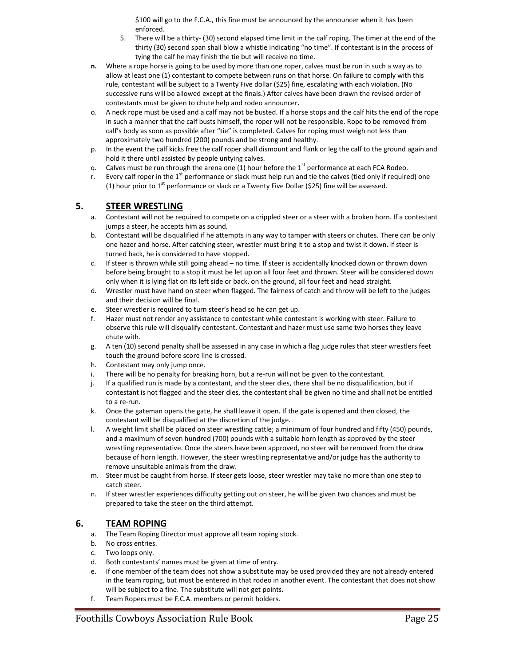\$100 will go to the F.C.A., this fine must be announced by the announcer when it has been enforced.

- 5. There will be a thirty- (30) second elapsed time limit in the calf roping. The timer at the end of the thirty (30) second span shall blow a whistle indicating "no time". If contestant is in the process of tying the calf he may finish the tie but will receive no time.
- **n.** Where a rope horse is going to be used by more than one roper, calves must be run in such a way as to allow at least one (1) contestant to compete between runs on that horse. On failure to comply with this rule, contestant will be subject to a Twenty Five dollar (\$25) fine, escalating with each violation. (No successive runs will be allowed except at the finals.) After calves have been drawn the revised order of contestants must be given to chute help and rodeo announcer**.**
- o. A neck rope must be used and a calf may not be busted. If a horse stops and the calf hits the end of the rope in such a manner that the calf busts himself, the roper will not be responsible. Rope to be removed from calf's body as soon as possible after "tie" is completed. Calves for roping must weigh not less than approximately two hundred (200) pounds and be strong and healthy.
- p. In the event the calf kicks free the calf roper shall dismount and flank or leg the calf to the ground again and hold it there until assisted by people untying calves.
- 
- q. Calves must be run through the arena one (1) hour before the  $1<sup>st</sup>$  performance at each FCA Rodeo.<br>r. Every calf roper in the  $1<sup>st</sup>$  performance or slack must help run and tie the calves (tied only if require Every calf roper in the  $1<sup>st</sup>$  performance or slack must help run and tie the calves (tied only if required) one (1) hour prior to 1<sup>st</sup> performance or slack or a Twenty Five Dollar (\$25) fine will be assessed.

# **5. STEER WRESTLING**

- a. Contestant will not be required to compete on a crippled steer or a steer with a broken horn. If a contestant jumps a steer, he accepts him as sound.
- b. Contestant will be disqualified if he attempts in any way to tamper with steers or chutes. There can be only one hazer and horse. After catching steer, wrestler must bring it to a stop and twist it down. If steer is turned back, he is considered to have stopped.
- c. If steer is thrown while still going ahead no time. If steer is accidentally knocked down or thrown down before being brought to a stop it must be let up on all four feet and thrown. Steer will be considered down only when it is lying flat on its left side or back, on the ground, all four feet and head straight.
- d. Wrestler must have hand on steer when flagged. The fairness of catch and throw will be left to the judges and their decision will be final.
- e. Steer wrestler is required to turn steer's head so he can get up.<br>f. Hazer must not render any assistance to contestant while conte
- Hazer must not render any assistance to contestant while contestant is working with steer. Failure to observe this rule will disqualify contestant. Contestant and hazer must use same two horses they leave chute with.
- g. A ten (10) second penalty shall be assessed in any case in which a flag judge rules that steer wrestlers feet touch the ground before score line is crossed.
- h. Contestant may only jump once.
- i. There will be no penalty for breaking horn, but a re-run will not be given to the contestant.
- j. If a qualified run is made by a contestant, and the steer dies, there shall be no disqualification, but if contestant is not flagged and the steer dies, the contestant shall be given no time and shall not be entitled to a re-run.
- k. Once the gateman opens the gate, he shall leave it open. If the gate is opened and then closed, the contestant will be disqualified at the discretion of the judge.
- l. A weight limit shall be placed on steer wrestling cattle; a minimum of four hundred and fifty (450) pounds, and a maximum of seven hundred (700) pounds with a suitable horn length as approved by the steer wrestling representative. Once the steers have been approved, no steer will be removed from the draw because of horn length. However, the steer wrestling representative and/or judge has the authority to remove unsuitable animals from the draw.
- m. Steer must be caught from horse. If steer gets loose, steer wrestler may take no more than one step to catch steer.
- n. If steer wrestler experiences difficulty getting out on steer, he will be given two chances and must be prepared to take the steer on the third attempt.

# **6. TEAM ROPING**

- a. The Team Roping Director must approve all team roping stock.
- b. No cross entries.
- c. Two loops only.
- d. Both contestants' names must be given at time of entry.
- e. If one member of the team does not show a substitute may be used provided they are not already entered in the team roping, but must be entered in that rodeo in another event. The contestant that does not show will be subject to a fine. The substitute will not get points**.**
- f. Team Ropers must be F.C.A. members or permit holders.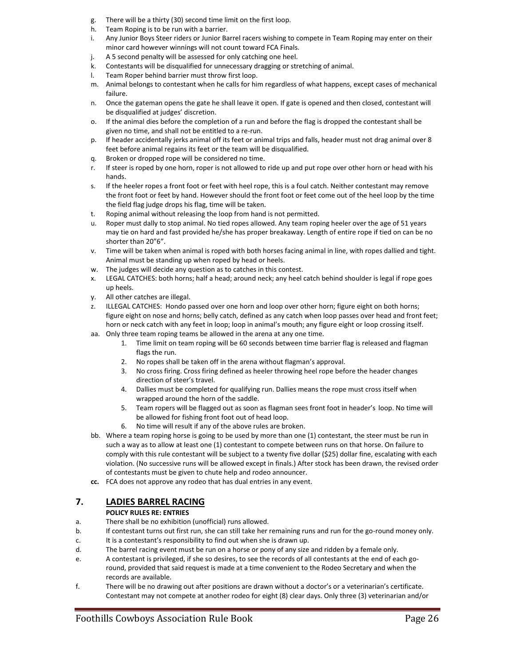- g. There will be a thirty (30) second time limit on the first loop.
- h. Team Roping is to be run with a barrier.
- i. Any Junior Boys Steer riders or Junior Barrel racers wishing to compete in Team Roping may enter on their minor card however winnings will not count toward FCA Finals.
- j. A 5 second penalty will be assessed for only catching one heel.
- k. Contestants will be disqualified for unnecessary dragging or stretching of animal.
- l. Team Roper behind barrier must throw first loop.
- m. Animal belongs to contestant when he calls for him regardless of what happens, except cases of mechanical failure.
- n. Once the gateman opens the gate he shall leave it open. If gate is opened and then closed, contestant will be disqualified at judges' discretion.
- o. If the animal dies before the completion of a run and before the flag is dropped the contestant shall be given no time, and shall not be entitled to a re-run.
- p. If header accidentally jerks animal off its feet or animal trips and falls, header must not drag animal over 8 feet before animal regains its feet or the team will be disqualified.
- 
- q. Broken or dropped rope will be considered no time.<br>r. If steer is roped by one horn, roper is not allowed to If steer is roped by one horn, roper is not allowed to ride up and put rope over other horn or head with his hands.
- s. If the heeler ropes a front foot or feet with heel rope, this is a foul catch. Neither contestant may remove the front foot or feet by hand. However should the front foot or feet come out of the heel loop by the time the field flag judge drops his flag, time will be taken.
- t. Roping animal without releasing the loop from hand is not permitted.
- u. Roper must dally to stop animal. No tied ropes allowed. Any team roping heeler over the age of 51 years may tie on hard and fast provided he/she has proper breakaway. Length of entire rope if tied on can be no shorter than 20"6".
- v. Time will be taken when animal is roped with both horses facing animal in line, with ropes dallied and tight. Animal must be standing up when roped by head or heels.
- w. The judges will decide any question as to catches in this contest.
- x. LEGAL CATCHES: both horns; half a head; around neck; any heel catch behind shoulder is legal if rope goes up heels.
- y. All other catches are illegal.
- z. ILLEGAL CATCHES: Hondo passed over one horn and loop over other horn; figure eight on both horns; figure eight on nose and horns; belly catch, defined as any catch when loop passes over head and front feet; horn or neck catch with any feet in loop; loop in animal's mouth; any figure eight or loop crossing itself.
- aa. Only three team roping teams be allowed in the arena at any one time.
	- 1. Time limit on team roping will be 60 seconds between time barrier flag is released and flagman flags the run.
	- 2. No ropes shall be taken off in the arena without flagman's approval.
	- 3. No cross firing. Cross firing defined as heeler throwing heel rope before the header changes direction of steer's travel.
	- 4. Dallies must be completed for qualifying run. Dallies means the rope must cross itself when wrapped around the horn of the saddle.
	- 5. Team ropers will be flagged out as soon as flagman sees front foot in header's loop. No time will be allowed for fishing front foot out of head loop.
	- 6. No time will result if any of the above rules are broken.
- bb. Where a team roping horse is going to be used by more than one (1) contestant, the steer must be run in such a way as to allow at least one (1) contestant to compete between runs on that horse. On failure to comply with this rule contestant will be subject to a twenty five dollar (\$25) dollar fine, escalating with each violation. (No successive runs will be allowed except in finals.) After stock has been drawn, the revised order of contestants must be given to chute help and rodeo announcer.
- **cc.** FCA does not approve any rodeo that has dual entries in any event.

# **7. LADIES BARREL RACING**

#### **POLICY RULES RE: ENTRIES**

- a. There shall be no exhibition (unofficial) runs allowed.
- b. If contestant turns out first run, she can still take her remaining runs and run for the go-round money only.
- c. It is a contestant's responsibility to find out when she is drawn up.
- d. The barrel racing event must be run on a horse or pony of any size and ridden by a female only.
- e. A contestant is privileged, if she so desires, to see the records of all contestants at the end of each goround, provided that said request is made at a time convenient to the Rodeo Secretary and when the records are available.
- f. There will be no drawing out after positions are drawn without a doctor's or a veterinarian's certificate. Contestant may not compete at another rodeo for eight (8) clear days. Only three (3) veterinarian and/or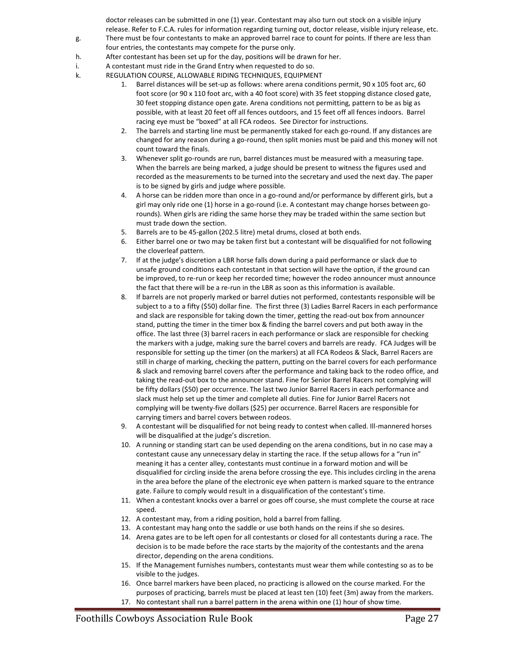doctor releases can be submitted in one (1) year. Contestant may also turn out stock on a visible injury release. Refer to F.C.A. rules for information regarding turning out, doctor release, visible injury release, etc.

- g. There must be four contestants to make an approved barrel race to count for points. If there are less than four entries, the contestants may compete for the purse only.
- h. After contestant has been set up for the day, positions will be drawn for her.
- i. A contestant must ride in the Grand Entry when requested to do so.
- k. REGULATION COURSE, ALLOWABLE RIDING TECHNIQUES, EQUIPMENT
	- 1. Barrel distances will be set-up as follows: where arena conditions permit, 90 x 105 foot arc, 60 foot score (or 90 x 110 foot arc, with a 40 foot score) with 35 feet stopping distance closed gate, 30 feet stopping distance open gate. Arena conditions not permitting, pattern to be as big as possible, with at least 20 feet off all fences outdoors, and 15 feet off all fences indoors. Barrel racing eye must be "boxed" at all FCA rodeos. See Director for instructions.
	- 2. The barrels and starting line must be permanently staked for each go-round. If any distances are changed for any reason during a go-round, then split monies must be paid and this money will not count toward the finals.
	- 3. Whenever split go-rounds are run, barrel distances must be measured with a measuring tape. When the barrels are being marked, a judge should be present to witness the figures used and recorded as the measurements to be turned into the secretary and used the next day. The paper is to be signed by girls and judge where possible.
	- 4. A horse can be ridden more than once in a go-round and/or performance by different girls, but a girl may only ride one (1) horse in a go-round (i.e. A contestant may change horses between gorounds). When girls are riding the same horse they may be traded within the same section but must trade down the section.
	- 5. Barrels are to be 45-gallon (202.5 litre) metal drums, closed at both ends.
	- 6. Either barrel one or two may be taken first but a contestant will be disqualified for not following the cloverleaf pattern.
	- 7. If at the judge's discretion a LBR horse falls down during a paid performance or slack due to unsafe ground conditions each contestant in that section will have the option, if the ground can be improved, to re-run or keep her recorded time; however the rodeo announcer must announce the fact that there will be a re-run in the LBR as soon as this information is available.
	- 8. If barrels are not properly marked or barrel duties not performed, contestants responsible will be subject to a to a fifty (\$50) dollar fine. The first three (3) Ladies Barrel Racers in each performance and slack are responsible for taking down the timer, getting the read-out box from announcer stand, putting the timer in the timer box & finding the barrel covers and put both away in the office. The last three (3) barrel racers in each performance or slack are responsible for checking the markers with a judge, making sure the barrel covers and barrels are ready. FCA Judges will be responsible for setting up the timer (on the markers) at all FCA Rodeos & Slack, Barrel Racers are still in charge of marking, checking the pattern, putting on the barrel covers for each performance & slack and removing barrel covers after the performance and taking back to the rodeo office, and taking the read-out box to the announcer stand. Fine for Senior Barrel Racers not complying will be fifty dollars (\$50) per occurrence. The last two Junior Barrel Racers in each performance and slack must help set up the timer and complete all duties. Fine for Junior Barrel Racers not complying will be twenty-five dollars (\$25) per occurrence. Barrel Racers are responsible for carrying timers and barrel covers between rodeos.
	- 9. A contestant will be disqualified for not being ready to contest when called. Ill-mannered horses will be disqualified at the judge's discretion.
	- 10. A running or standing start can be used depending on the arena conditions, but in no case may a contestant cause any unnecessary delay in starting the race. If the setup allows for a "run in" meaning it has a center alley, contestants must continue in a forward motion and will be disqualified for circling inside the arena before crossing the eye. This includes circling in the arena in the area before the plane of the electronic eye when pattern is marked square to the entrance gate. Failure to comply would result in a disqualification of the contestant's time.
	- 11. When a contestant knocks over a barrel or goes off course, she must complete the course at race speed.
	- 12. A contestant may, from a riding position, hold a barrel from falling.
	- 13. A contestant may hang onto the saddle or use both hands on the reins if she so desires.
	- 14. Arena gates are to be left open for all contestants or closed for all contestants during a race. The decision is to be made before the race starts by the majority of the contestants and the arena director, depending on the arena conditions.
	- 15. If the Management furnishes numbers, contestants must wear them while contesting so as to be visible to the judges.
	- 16. Once barrel markers have been placed, no practicing is allowed on the course marked. For the purposes of practicing, barrels must be placed at least ten (10) feet (3m) away from the markers.
	- 17. No contestant shall run a barrel pattern in the arena within one (1) hour of show time.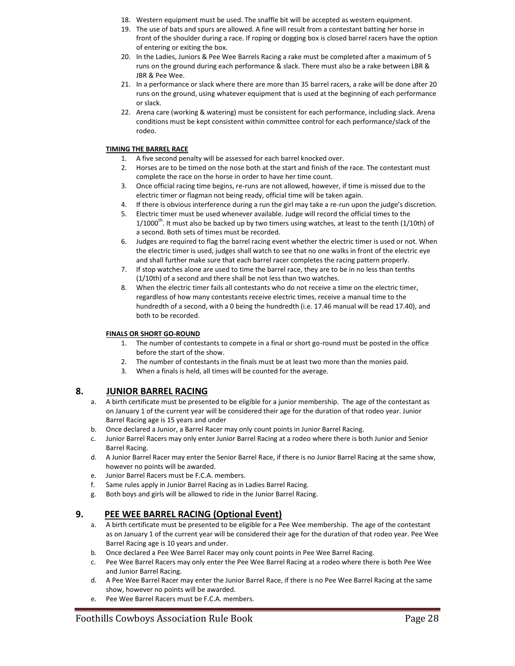- 18. Western equipment must be used. The snaffle bit will be accepted as western equipment.
- 19. The use of bats and spurs are allowed. A fine will result from a contestant batting her horse in front of the shoulder during a race. If roping or dogging box is closed barrel racers have the option of entering or exiting the box.
- 20. In the Ladies, Juniors & Pee Wee Barrels Racing a rake must be completed after a maximum of 5 runs on the ground during each performance & slack. There must also be a rake between LBR & JBR & Pee Wee.
- 21. In a performance or slack where there are more than 35 barrel racers, a rake will be done after 20 runs on the ground, using whatever equipment that is used at the beginning of each performance or slack.
- 22. Arena care (working & watering) must be consistent for each performance, including slack. Arena conditions must be kept consistent within committee control for each performance/slack of the rodeo.

#### **TIMING THE BARREL RACE**

- 1. A five second penalty will be assessed for each barrel knocked over.
- 2. Horses are to be timed on the nose both at the start and finish of the race. The contestant must complete the race on the horse in order to have her time count.
- 3. Once official racing time begins, re-runs are not allowed, however, if time is missed due to the electric timer or flagman not being ready, official time will be taken again.
- 4. If there is obvious interference during a run the girl may take a re-run upon the judge's discretion.
- 5. Electric timer must be used whenever available. Judge will record the official times to the 1/1000<sup>th</sup>. It must also be backed up by two timers using watches, at least to the tenth (1/10th) of a second. Both sets of times must be recorded.
- 6. Judges are required to flag the barrel racing event whether the electric timer is used or not. When the electric timer is used, judges shall watch to see that no one walks in front of the electric eye and shall further make sure that each barrel racer completes the racing pattern properly.
- 7. If stop watches alone are used to time the barrel race, they are to be in no less than tenths (1/10th) of a second and there shall be not less than two watches.
- 8. When the electric timer fails all contestants who do not receive a time on the electric timer, regardless of how many contestants receive electric times, receive a manual time to the hundredth of a second, with a 0 being the hundredth (i.e. 17.46 manual will be read 17.40), and both to be recorded.

#### **FINALS OR SHORT GO-ROUND**

- 1. The number of contestants to compete in a final or short go-round must be posted in the office before the start of the show.
- 2. The number of contestants in the finals must be at least two more than the monies paid.
- 3. When a finals is held, all times will be counted for the average.

### **8. JUNIOR BARREL RACING**

- a. A birth certificate must be presented to be eligible for a junior membership. The age of the contestant as on January 1 of the current year will be considered their age for the duration of that rodeo year. Junior Barrel Racing age is 15 years and under
- b. Once declared a Junior, a Barrel Racer may only count points in Junior Barrel Racing.
- c. Junior Barrel Racers may only enter Junior Barrel Racing at a rodeo where there is both Junior and Senior Barrel Racing.
- d. A Junior Barrel Racer may enter the Senior Barrel Race, if there is no Junior Barrel Racing at the same show, however no points will be awarded.
- e. Junior Barrel Racers must be F.C.A. members.
- f. Same rules apply in Junior Barrel Racing as in Ladies Barrel Racing.
- g. Both boys and girls will be allowed to ride in the Junior Barrel Racing.

### **9. PEE WEE BARREL RACING (Optional Event)**

- a. A birth certificate must be presented to be eligible for a Pee Wee membership. The age of the contestant as on January 1 of the current year will be considered their age for the duration of that rodeo year. Pee Wee Barrel Racing age is 10 years and under.
- b. Once declared a Pee Wee Barrel Racer may only count points in Pee Wee Barrel Racing.
- c. Pee Wee Barrel Racers may only enter the Pee Wee Barrel Racing at a rodeo where there is both Pee Wee and Junior Barrel Racing.
- d. A Pee Wee Barrel Racer may enter the Junior Barrel Race, if there is no Pee Wee Barrel Racing at the same show, however no points will be awarded.
- e. Pee Wee Barrel Racers must be F.C.A. members.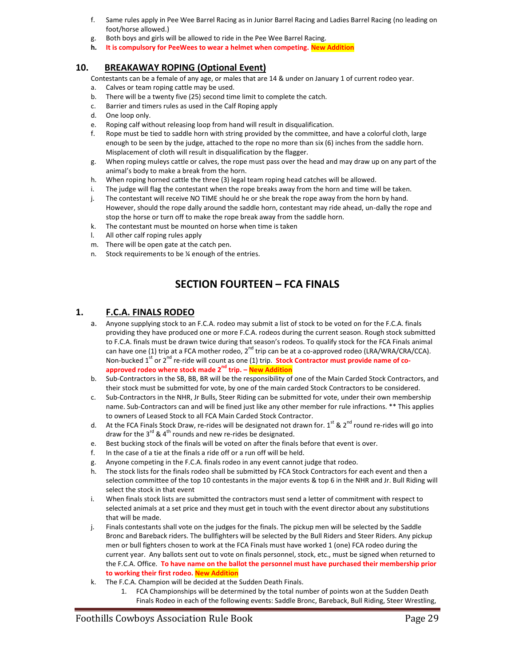- f. Same rules apply in Pee Wee Barrel Racing as in Junior Barrel Racing and Ladies Barrel Racing (no leading on foot/horse allowed.)
- g. Both boys and girls will be allowed to ride in the Pee Wee Barrel Racing.
- **h. It is compulsory for PeeWees to wear a helmet when competing. New Addition**

#### **10. BREAKAWAY ROPING (Optional Event)**

Contestants can be a female of any age, or males that are 14 & under on January 1 of current rodeo year.

- a. Calves or team roping cattle may be used.
- b. There will be a twenty five (25) second time limit to complete the catch.
- c. Barrier and timers rules as used in the Calf Roping apply
- d. One loop only.
- e. Roping calf without releasing loop from hand will result in disqualification.
- f. Rope must be tied to saddle horn with string provided by the committee, and have a colorful cloth, large enough to be seen by the judge, attached to the rope no more than six (6) inches from the saddle horn. Misplacement of cloth will result in disqualification by the flagger.
- g. When roping muleys cattle or calves, the rope must pass over the head and may draw up on any part of the animal's body to make a break from the horn.
- h. When roping horned cattle the three (3) legal team roping head catches will be allowed.
- i. The judge will flag the contestant when the rope breaks away from the horn and time will be taken.
- j. The contestant will receive NO TIME should he or she break the rope away from the horn by hand. However, should the rope dally around the saddle horn, contestant may ride ahead, un-dally the rope and stop the horse or turn off to make the rope break away from the saddle horn.
- k. The contestant must be mounted on horse when time is taken
- l. All other calf roping rules apply
- m. There will be open gate at the catch pen.
- n. Stock requirements to be ¼ enough of the entries.

# **SECTION FOURTEEN – FCA FINALS**

#### **1. F.C.A. FINALS RODEO**

- a. Anyone supplying stock to an F.C.A. rodeo may submit a list of stock to be voted on for the F.C.A. finals providing they have produced one or more F.C.A. rodeos during the current season. Rough stock submitted to F.C.A. finals must be drawn twice during that season's rodeos. To qualify stock for the FCA Finals animal can have one (1) trip at a FCA mother rodeo,  $2^{nd}$  trip can be at a co-approved rodeo (LRA/WRA/CRA/CCA). Non-bucked 1<sup>st</sup> or 2<sup>nd</sup> re-ride will count as one (1) trip. **Stock Contractor must provide name of coapproved rodeo where stock made 2nd trip. – New Addition**
- b. Sub-Contractors in the SB, BB, BR will be the responsibility of one of the Main Carded Stock Contractors, and their stock must be submitted for vote, by one of the main carded Stock Contractors to be considered.
- c. Sub-Contractors in the NHR, Jr Bulls, Steer Riding can be submitted for vote, under their own membership name. Sub-Contractors can and will be fined just like any other member for rule infractions. \*\* This applies to owners of Leased Stock to all FCA Main Carded Stock Contractor.
- d. At the FCA Finals Stock Draw, re-rides will be designated not drawn for.  $1^{st}$  &  $2^{nd}$  round re-rides will go into draw for the  $3^{rd}$  &  $4^{th}$  rounds and new re-rides be designated.
- e. Best bucking stock of the finals will be voted on after the finals before that event is over.
- f. In the case of a tie at the finals a ride off or a run off will be held.
- g. Anyone competing in the F.C.A. finals rodeo in any event cannot judge that rodeo.
- h. The stock lists for the finals rodeo shall be submitted by FCA Stock Contractors for each event and then a selection committee of the top 10 contestants in the major events & top 6 in the NHR and Jr. Bull Riding will select the stock in that event
- i. When finals stock lists are submitted the contractors must send a letter of commitment with respect to selected animals at a set price and they must get in touch with the event director about any substitutions that will be made.
- j. Finals contestants shall vote on the judges for the finals. The pickup men will be selected by the Saddle Bronc and Bareback riders. The bullfighters will be selected by the Bull Riders and Steer Riders. Any pickup men or bull fighters chosen to work at the FCA Finals must have worked 1 (one) FCA rodeo during the current year. Any ballots sent out to vote on finals personnel, stock, etc., must be signed when returned to the F.C.A. Office. **To have name on the ballot the personnel must have purchased their membership prior to working their first rodeo. New Addition**
- k. The F.C.A. Champion will be decided at the Sudden Death Finals.
	- 1. FCA Championships will be determined by the total number of points won at the Sudden Death Finals Rodeo in each of the following events: Saddle Bronc, Bareback, Bull Riding, Steer Wrestling,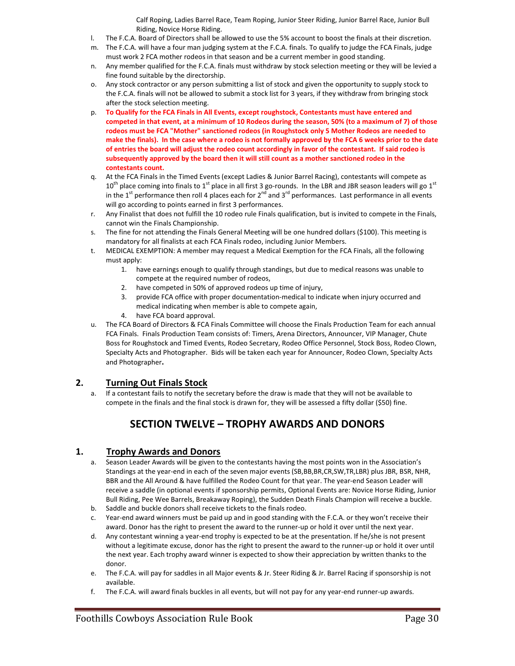Calf Roping, Ladies Barrel Race, Team Roping, Junior Steer Riding, Junior Barrel Race, Junior Bull Riding, Novice Horse Riding.

- l. The F.C.A. Board of Directors shall be allowed to use the 5% account to boost the finals at their discretion.
- m. The F.C.A. will have a four man judging system at the F.C.A. finals. To qualify to judge the FCA Finals, judge must work 2 FCA mother rodeos in that season and be a current member in good standing.
- n. Any member qualified for the F.C.A. finals must withdraw by stock selection meeting or they will be levied a fine found suitable by the directorship.
- o. Any stock contractor or any person submitting a list of stock and given the opportunity to supply stock to the F.C.A. finals will not be allowed to submit a stock list for 3 years, if they withdraw from bringing stock after the stock selection meeting.
- p. **To Qualify for the FCA Finals in All Events, except roughstock, Contestants must have entered and competed in that event, at a minimum of 10 Rodeos during the season, 50% (to a maximum of 7) of those rodeos must be FCA "Mother" sanctioned rodeos (in Roughstock only 5 Mother Rodeos are needed to make the finals). In the case where a rodeo is not formally approved by the FCA 6 weeks prior to the date of entries the board will adjust the rodeo count accordingly in favor of the contestant. If said rodeo is subsequently approved by the board then it will still count as a mother sanctioned rodeo in the contestants count.**
- q. At the FCA Finals in the Timed Events (except Ladies & Junior Barrel Racing), contestants will compete as  $10^{th}$  place coming into finals to  $1^{st}$  place in all first 3 go-rounds. In the LBR and JBR season leaders will go  $1^{st}$ in the 1<sup>st</sup> performance then roll 4 places each for 2<sup>nd</sup> and 3<sup>rd</sup> performances. Last performance in all events will go according to points earned in first 3 performances.
- r. Any Finalist that does not fulfill the 10 rodeo rule Finals qualification, but is invited to compete in the Finals, cannot win the Finals Championship.
- s. The fine for not attending the Finals General Meeting will be one hundred dollars (\$100). This meeting is mandatory for all finalists at each FCA Finals rodeo, including Junior Members.
- t. MEDICAL EXEMPTION: A member may request a Medical Exemption for the FCA Finals, all the following must apply:
	- 1. have earnings enough to qualify through standings, but due to medical reasons was unable to compete at the required number of rodeos,
	- 2. have competed in 50% of approved rodeos up time of injury,
	- 3. provide FCA office with proper documentation-medical to indicate when injury occurred and medical indicating when member is able to compete again,
	- 4. have FCA board approval.
- u. The FCA Board of Directors & FCA Finals Committee will choose the Finals Production Team for each annual FCA Finals. Finals Production Team consists of: Timers, Arena Directors, Announcer, VIP Manager, Chute Boss for Roughstock and Timed Events, Rodeo Secretary, Rodeo Office Personnel, Stock Boss, Rodeo Clown, Specialty Acts and Photographer. Bids will be taken each year for Announcer, Rodeo Clown, Specialty Acts and Photographer**.**

### **2. Turning Out Finals Stock**

a. If a contestant fails to notify the secretary before the draw is made that they will not be available to compete in the finals and the final stock is drawn for, they will be assessed a fifty dollar (\$50) fine.

# **SECTION TWELVE – TROPHY AWARDS AND DONORS**

### **1. Trophy Awards and Donors**

- a. Season Leader Awards will be given to the contestants having the most points won in the Association's Standings at the year-end in each of the seven major events (SB,BB,BR,CR,SW,TR,LBR) plus JBR, BSR, NHR, BBR and the All Around & have fulfilled the Rodeo Count for that year. The year-end Season Leader will receive a saddle (in optional events if sponsorship permits, Optional Events are: Novice Horse Riding, Junior Bull Riding, Pee Wee Barrels, Breakaway Roping), the Sudden Death Finals Champion will receive a buckle.
- b. Saddle and buckle donors shall receive tickets to the finals rodeo.
- c. Year-end award winners must be paid up and in good standing with the F.C.A. or they won't receive their award. Donor has the right to present the award to the runner-up or hold it over until the next year.
- d. Any contestant winning a year-end trophy is expected to be at the presentation. If he/she is not present without a legitimate excuse, donor has the right to present the award to the runner-up or hold it over until the next year. Each trophy award winner is expected to show their appreciation by written thanks to the donor.
- e. The F.C.A. will pay for saddles in all Major events & Jr. Steer Riding & Jr. Barrel Racing if sponsorship is not available.
- f. The F.C.A. will award finals buckles in all events, but will not pay for any year-end runner-up awards.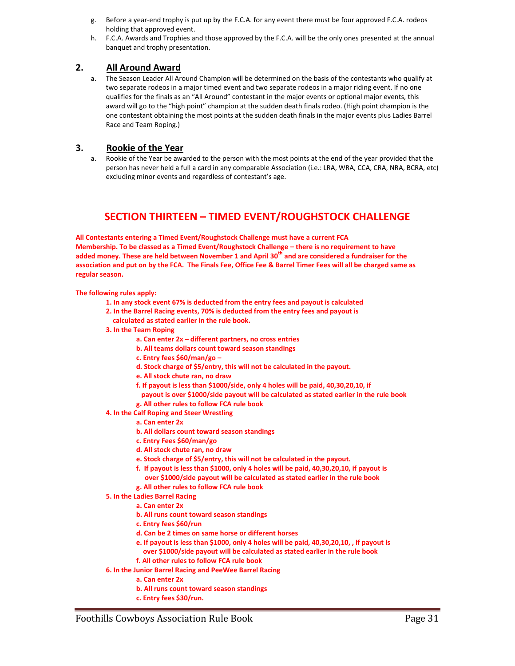- g. Before a year-end trophy is put up by the F.C.A. for any event there must be four approved F.C.A. rodeos holding that approved event.
- h. F.C.A. Awards and Trophies and those approved by the F.C.A. will be the only ones presented at the annual banquet and trophy presentation.

### **2. All Around Award**

a. The Season Leader All Around Champion will be determined on the basis of the contestants who qualify at two separate rodeos in a major timed event and two separate rodeos in a major riding event. If no one qualifies for the finals as an "All Around" contestant in the major events or optional major events, this award will go to the "high point" champion at the sudden death finals rodeo. (High point champion is the one contestant obtaining the most points at the sudden death finals in the major events plus Ladies Barrel Race and Team Roping.)

### **3. Rookie of the Year**

a. Rookie of the Year be awarded to the person with the most points at the end of the year provided that the person has never held a full a card in any comparable Association (i.e.: LRA, WRA, CCA, CRA, NRA, BCRA, etc) excluding minor events and regardless of contestant's age.

# **SECTION THIRTEEN – TIMED EVENT/ROUGHSTOCK CHALLENGE**

**All Contestants entering a Timed Event/Roughstock Challenge must have a current FCA Membership. To be classed as a Timed Event/Roughstock Challenge – there is no requirement to have added money. These are held between November 1 and April 30th and are considered a fundraiser for the association and put on by the FCA. The Finals Fee, Office Fee & Barrel Timer Fees will all be charged same as regular season.**

#### **The following rules apply:**

- **1. In any stock event 67% is deducted from the entry fees and payout is calculated**
- **2. In the Barrel Racing events, 70% is deducted from the entry fees and payout is**
- **calculated as stated earlier in the rule book.**
- **3. In the Team Roping**
	- **a. Can enter 2x – different partners, no cross entries**
	- **b. All teams dollars count toward season standings**
	- **c. Entry fees \$60/man/go –**
	- **d. Stock charge of \$5/entry, this will not be calculated in the payout.**
	- **e. All stock chute ran, no draw**
	- **f. If payout is less than \$1000/side, only 4 holes will be paid, 40,30,20,10, if**
	- **payout is over \$1000/side payout will be calculated as stated earlier in the rule book g. All other rules to follow FCA rule book**
- **4. In the Calf Roping and Steer Wrestling**
	- **a. Can enter 2x**
	- **b. All dollars count toward season standings**
	- **c. Entry Fees \$60/man/go**
	- **d. All stock chute ran, no draw**
	- **e. Stock charge of \$5/entry, this will not be calculated in the payout.**
	- **f. If payout is less than \$1000, only 4 holes will be paid, 40,30,20,10, if payout is over \$1000/side payout will be calculated as stated earlier in the rule book g. All other rules to follow FCA rule book**
- **5. In the Ladies Barrel Racing**
	- **a. Can enter 2x**
	- **b. All runs count toward season standings**
	- **c. Entry fees \$60/run**
	- **d. Can be 2 times on same horse or different horses**
	- **e. If payout is less than \$1000, only 4 holes will be paid, 40,30,20,10, , if payout is over \$1000/side payout will be calculated as stated earlier in the rule book**
	- **f. All other rules to follow FCA rule book**
- **6. In the Junior Barrel Racing and PeeWee Barrel Racing**
	- **a. Can enter 2x** 
		- **b. All runs count toward season standings**
		- **c. Entry fees \$30/run.**